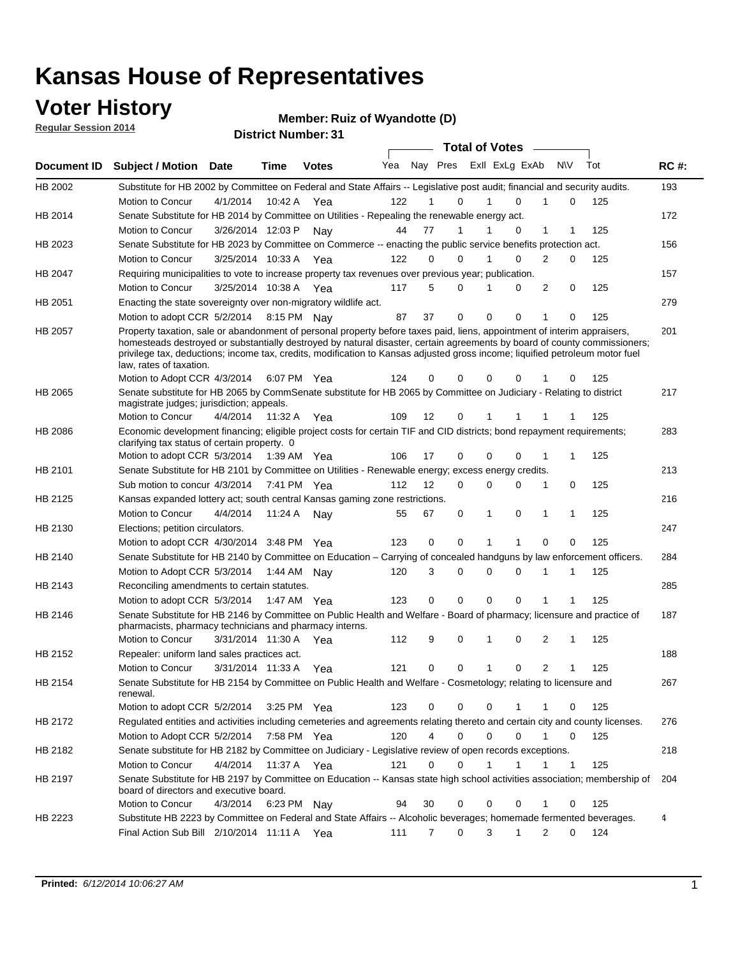### **Voter History**

**Regular Session 2014**

#### **Member: Ruiz of Wyandotte (D)**

| <b>District Number: 31</b> |
|----------------------------|
|                            |

|                |                                                                                                                                                                                                                                                                                                                                                                                                                  |                       |         |              |     |                |          |              | <b>Total of Votes</b>   |                |          |     |             |
|----------------|------------------------------------------------------------------------------------------------------------------------------------------------------------------------------------------------------------------------------------------------------------------------------------------------------------------------------------------------------------------------------------------------------------------|-----------------------|---------|--------------|-----|----------------|----------|--------------|-------------------------|----------------|----------|-----|-------------|
| Document ID    | <b>Subject / Motion Date</b>                                                                                                                                                                                                                                                                                                                                                                                     |                       | Time    | <b>Votes</b> | Yea |                |          |              | Nay Pres Exll ExLg ExAb |                | N\V      | Tot | <b>RC#:</b> |
| HB 2002        | Substitute for HB 2002 by Committee on Federal and State Affairs -- Legislative post audit; financial and security audits.                                                                                                                                                                                                                                                                                       |                       |         |              |     |                |          |              |                         |                |          |     | 193         |
|                | Motion to Concur                                                                                                                                                                                                                                                                                                                                                                                                 | 4/1/2014              | 10:42 A | Yea          | 122 |                | $\Omega$ |              | $\Omega$                | 1              | $\Omega$ | 125 |             |
| HB 2014        | Senate Substitute for HB 2014 by Committee on Utilities - Repealing the renewable energy act.                                                                                                                                                                                                                                                                                                                    |                       |         |              |     |                |          |              |                         |                |          |     | 172         |
|                | Motion to Concur                                                                                                                                                                                                                                                                                                                                                                                                 | 3/26/2014 12:03 P     |         | Nav          | 44  | 77             | 1        | 1            | 0                       | 1              | 1        | 125 |             |
| HB 2023        | Senate Substitute for HB 2023 by Committee on Commerce -- enacting the public service benefits protection act.                                                                                                                                                                                                                                                                                                   |                       |         |              |     |                |          |              |                         |                |          |     | 156         |
|                | Motion to Concur                                                                                                                                                                                                                                                                                                                                                                                                 | 3/25/2014 10:33 A     |         | Yea          | 122 | 0              | $\Omega$ | 1            | $\Omega$                | 2              | 0        | 125 |             |
| HB 2047        | Requiring municipalities to vote to increase property tax revenues over previous year; publication.                                                                                                                                                                                                                                                                                                              |                       |         |              |     |                |          |              |                         |                |          |     | 157         |
|                | Motion to Concur                                                                                                                                                                                                                                                                                                                                                                                                 | 3/25/2014 10:38 A     |         | Yea          | 117 | 5              | $\Omega$ | 1            | 0                       | 2              | 0        | 125 |             |
| HB 2051        | Enacting the state sovereignty over non-migratory wildlife act.                                                                                                                                                                                                                                                                                                                                                  |                       |         |              |     |                |          |              |                         |                |          |     | 279         |
|                | Motion to adopt CCR 5/2/2014 8:15 PM Nay                                                                                                                                                                                                                                                                                                                                                                         |                       |         |              | 87  | 37             | 0        | $\mathbf 0$  | 0                       | 1              | 0        | 125 |             |
| HB 2057        | Property taxation, sale or abandonment of personal property before taxes paid, liens, appointment of interim appraisers,<br>homesteads destroyed or substantially destroyed by natural disaster, certain agreements by board of county commissioners;<br>privilege tax, deductions; income tax, credits, modification to Kansas adjusted gross income; liquified petroleum motor fuel<br>law, rates of taxation. |                       |         |              |     |                |          |              |                         |                |          |     | 201         |
|                | Motion to Adopt CCR 4/3/2014                                                                                                                                                                                                                                                                                                                                                                                     |                       |         | 6:07 PM Yea  | 124 | 0              | 0        | 0            | $\Omega$                |                | 0        | 125 |             |
| HB 2065        | Senate substitute for HB 2065 by CommSenate substitute for HB 2065 by Committee on Judiciary - Relating to district<br>magistrate judges; jurisdiction; appeals.                                                                                                                                                                                                                                                 |                       |         |              |     |                |          |              |                         |                |          |     | 217         |
|                | Motion to Concur                                                                                                                                                                                                                                                                                                                                                                                                 | 4/4/2014              | 11:32 A | Yea          | 109 | 12             | 0        | 1            |                         |                |          | 125 |             |
| <b>HB 2086</b> | Economic development financing; eligible project costs for certain TIF and CID districts; bond repayment requirements;<br>clarifying tax status of certain property. 0                                                                                                                                                                                                                                           |                       |         |              |     |                |          |              |                         |                |          |     | 283         |
|                | Motion to adopt CCR 5/3/2014 1:39 AM Yea                                                                                                                                                                                                                                                                                                                                                                         |                       |         |              | 106 | 17             | 0        | $\mathbf 0$  | 0                       | 1              | 1        | 125 |             |
| HB 2101        | Senate Substitute for HB 2101 by Committee on Utilities - Renewable energy; excess energy credits.                                                                                                                                                                                                                                                                                                               |                       |         |              |     |                |          |              |                         |                |          |     | 213         |
|                | Sub motion to concur 4/3/2014 7:41 PM Yea                                                                                                                                                                                                                                                                                                                                                                        |                       |         |              | 112 | 12             | 0        | 0            | $\Omega$                | 1              | 0        | 125 |             |
| HB 2125        | Kansas expanded lottery act; south central Kansas gaming zone restrictions.                                                                                                                                                                                                                                                                                                                                      |                       |         |              |     |                |          |              |                         |                |          |     | 216         |
|                | Motion to Concur                                                                                                                                                                                                                                                                                                                                                                                                 | 4/4/2014              | 11:24 A | Nav          | 55  | 67             | 0        | 1            | 0                       | 1              | 1        | 125 |             |
| HB 2130        | Elections; petition circulators.                                                                                                                                                                                                                                                                                                                                                                                 |                       |         |              |     |                |          |              |                         |                |          |     | 247         |
|                | Motion to adopt CCR 4/30/2014 3:48 PM Yea                                                                                                                                                                                                                                                                                                                                                                        |                       |         |              | 123 | 0              | 0        | 1            | 1                       | $\Omega$       | 0        | 125 |             |
| HB 2140        | Senate Substitute for HB 2140 by Committee on Education - Carrying of concealed handguns by law enforcement officers.                                                                                                                                                                                                                                                                                            |                       |         |              |     |                |          |              |                         |                |          |     | 284         |
|                | Motion to Adopt CCR 5/3/2014 1:44 AM Nav                                                                                                                                                                                                                                                                                                                                                                         |                       |         |              | 120 | 3              | 0        | 0            | $\Omega$                | 1              | 1        | 125 |             |
| HB 2143        | Reconciling amendments to certain statutes.                                                                                                                                                                                                                                                                                                                                                                      |                       |         |              |     |                |          |              |                         |                |          |     | 285         |
|                | Motion to adopt CCR 5/3/2014 1:47 AM Yea                                                                                                                                                                                                                                                                                                                                                                         |                       |         |              | 123 | 0              | 0        | $\mathbf 0$  | $\mathbf 0$             | 1              |          | 125 |             |
| HB 2146        | Senate Substitute for HB 2146 by Committee on Public Health and Welfare - Board of pharmacy; licensure and practice of<br>pharmacists, pharmacy technicians and pharmacy interns.                                                                                                                                                                                                                                |                       |         |              |     |                |          |              |                         |                |          |     | 187         |
|                | Motion to Concur                                                                                                                                                                                                                                                                                                                                                                                                 | 3/31/2014 11:30 A Yea |         |              | 112 | 9              | 0        | 1            | 0                       | 2              | 1        | 125 |             |
| HB 2152        | Repealer: uniform land sales practices act.                                                                                                                                                                                                                                                                                                                                                                      |                       |         |              |     |                |          |              |                         |                |          |     | 188         |
|                | Motion to Concur                                                                                                                                                                                                                                                                                                                                                                                                 | 3/31/2014 11:33 A     |         | Yea          | 121 | 0              | 0        | $\mathbf{1}$ | 0                       | $\overline{2}$ | 1        | 125 |             |
| HB 2154        | Senate Substitute for HB 2154 by Committee on Public Health and Welfare - Cosmetology; relating to licensure and<br>renewal.                                                                                                                                                                                                                                                                                     |                       |         |              |     |                |          |              |                         |                |          |     | 267         |
|                | Motion to adopt CCR 5/2/2014                                                                                                                                                                                                                                                                                                                                                                                     |                       |         | 3:25 PM Yea  | 123 | 0              | 0        | 0            |                         | 1              | 0        | 125 |             |
| HB 2172        | Regulated entities and activities including cemeteries and agreements relating thereto and certain city and county licenses.                                                                                                                                                                                                                                                                                     |                       |         |              |     |                |          |              |                         |                |          |     | 276         |
|                | Motion to Adopt CCR 5/2/2014                                                                                                                                                                                                                                                                                                                                                                                     |                       |         | 7:58 PM Yea  | 120 | $\overline{4}$ | 0        | $\mathbf 0$  | $\mathbf 0$             | 1              | 0        | 125 |             |
| HB 2182        | Senate substitute for HB 2182 by Committee on Judiciary - Legislative review of open records exceptions.                                                                                                                                                                                                                                                                                                         |                       |         |              |     |                |          |              |                         |                |          |     | 218         |
|                | Motion to Concur                                                                                                                                                                                                                                                                                                                                                                                                 | 4/4/2014 11:37 A Yea  |         |              | 121 | 0              | 0        | 1            | 1                       |                | 1        | 125 |             |
| HB 2197        | Senate Substitute for HB 2197 by Committee on Education -- Kansas state high school activities association; membership of<br>board of directors and executive board.                                                                                                                                                                                                                                             |                       |         |              |     |                |          |              |                         |                |          |     | 204         |
|                | Motion to Concur                                                                                                                                                                                                                                                                                                                                                                                                 | 4/3/2014              |         | 6:23 PM Nay  | 94  | 30             | 0        | 0            | 0                       | 1              | 0        | 125 |             |
| HB 2223        | Substitute HB 2223 by Committee on Federal and State Affairs -- Alcoholic beverages; homemade fermented beverages.                                                                                                                                                                                                                                                                                               |                       |         |              |     |                |          |              |                         |                |          |     | 4           |
|                | Final Action Sub Bill 2/10/2014 11:11 A Yea                                                                                                                                                                                                                                                                                                                                                                      |                       |         |              | 111 | 7              | 0        | 3            | 1                       | $\overline{2}$ | 0        | 124 |             |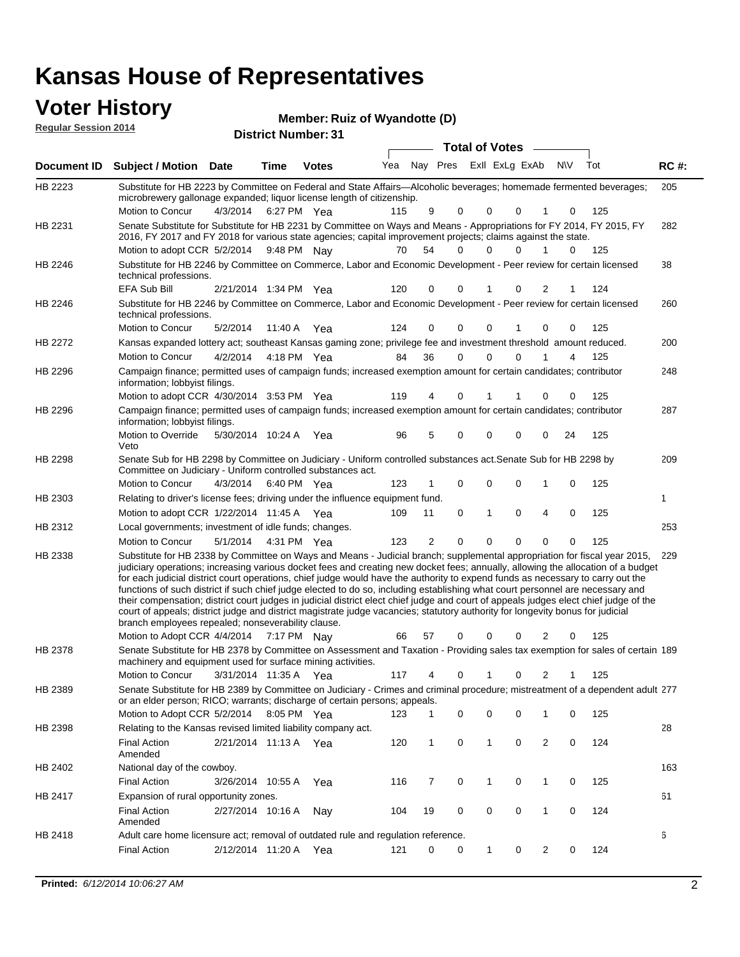# **Voter History**<br> **Regular Session 2014**

| <b>VULGI THISLUI Y</b><br><b>Regular Session 2014</b> |                                                                                                                                                                                                                                                                                                                                                                                                                                                                                                                                                                                                                                                                                                                                                                                                                                                                                                                 |                       |             | Member: Ruiz of Wyandotte (D) |     |                |             |                       |                         |                |     |     |             |
|-------------------------------------------------------|-----------------------------------------------------------------------------------------------------------------------------------------------------------------------------------------------------------------------------------------------------------------------------------------------------------------------------------------------------------------------------------------------------------------------------------------------------------------------------------------------------------------------------------------------------------------------------------------------------------------------------------------------------------------------------------------------------------------------------------------------------------------------------------------------------------------------------------------------------------------------------------------------------------------|-----------------------|-------------|-------------------------------|-----|----------------|-------------|-----------------------|-------------------------|----------------|-----|-----|-------------|
|                                                       |                                                                                                                                                                                                                                                                                                                                                                                                                                                                                                                                                                                                                                                                                                                                                                                                                                                                                                                 |                       |             | <b>District Number: 31</b>    |     |                |             | <b>Total of Votes</b> |                         |                |     |     |             |
|                                                       | Document ID Subject / Motion Date                                                                                                                                                                                                                                                                                                                                                                                                                                                                                                                                                                                                                                                                                                                                                                                                                                                                               |                       | Time        | <b>Votes</b>                  | Yea |                |             |                       | Nay Pres ExII ExLg ExAb |                | N\V | Tot | <b>RC#:</b> |
| HB 2223                                               | Substitute for HB 2223 by Committee on Federal and State Affairs—Alcoholic beverages; homemade fermented beverages;                                                                                                                                                                                                                                                                                                                                                                                                                                                                                                                                                                                                                                                                                                                                                                                             |                       |             |                               |     |                |             |                       |                         |                |     |     | 205         |
|                                                       | microbrewery gallonage expanded; liquor license length of citizenship.                                                                                                                                                                                                                                                                                                                                                                                                                                                                                                                                                                                                                                                                                                                                                                                                                                          |                       |             |                               |     |                |             |                       |                         |                |     |     |             |
|                                                       | Motion to Concur                                                                                                                                                                                                                                                                                                                                                                                                                                                                                                                                                                                                                                                                                                                                                                                                                                                                                                | 4/3/2014              | 6:27 PM Yea |                               | 115 | 9              | 0           | 0                     | 0                       | 1              | 0   | 125 |             |
| HB 2231                                               | Senate Substitute for Substitute for HB 2231 by Committee on Ways and Means - Appropriations for FY 2014, FY 2015, FY<br>2016, FY 2017 and FY 2018 for various state agencies; capital improvement projects; claims against the state.                                                                                                                                                                                                                                                                                                                                                                                                                                                                                                                                                                                                                                                                          |                       |             |                               |     |                |             |                       |                         |                |     |     | 282         |
|                                                       | Motion to adopt CCR 5/2/2014 9:48 PM Nay                                                                                                                                                                                                                                                                                                                                                                                                                                                                                                                                                                                                                                                                                                                                                                                                                                                                        |                       |             |                               | 70  | 54             | 0           | 0                     | 0                       | 1              | 0   | 125 |             |
| HB 2246                                               | Substitute for HB 2246 by Committee on Commerce, Labor and Economic Development - Peer review for certain licensed<br>technical professions.                                                                                                                                                                                                                                                                                                                                                                                                                                                                                                                                                                                                                                                                                                                                                                    |                       |             |                               |     |                |             |                       |                         |                |     |     | 38          |
|                                                       | EFA Sub Bill                                                                                                                                                                                                                                                                                                                                                                                                                                                                                                                                                                                                                                                                                                                                                                                                                                                                                                    | 2/21/2014 1:34 PM Yea |             |                               | 120 | 0              | 0           | 1                     | 0                       | 2              | 1   | 124 |             |
| HB 2246                                               | Substitute for HB 2246 by Committee on Commerce, Labor and Economic Development - Peer review for certain licensed<br>technical professions.                                                                                                                                                                                                                                                                                                                                                                                                                                                                                                                                                                                                                                                                                                                                                                    |                       |             |                               |     |                |             |                       |                         |                |     |     | 260         |
|                                                       | Motion to Concur                                                                                                                                                                                                                                                                                                                                                                                                                                                                                                                                                                                                                                                                                                                                                                                                                                                                                                | 5/2/2014              | 11:40 A     | Yea                           | 124 | 0              | $\mathbf 0$ | 0                     | 1                       | $\mathbf 0$    | 0   | 125 |             |
| HB 2272                                               | Kansas expanded lottery act; southeast Kansas gaming zone; privilege fee and investment threshold amount reduced.                                                                                                                                                                                                                                                                                                                                                                                                                                                                                                                                                                                                                                                                                                                                                                                               |                       |             |                               |     |                |             |                       |                         |                |     |     | 200         |
|                                                       | Motion to Concur                                                                                                                                                                                                                                                                                                                                                                                                                                                                                                                                                                                                                                                                                                                                                                                                                                                                                                | 4/2/2014              | 4:18 PM Yea |                               | 84  | 36             | $\mathbf 0$ | $\mathbf{0}$          | 0                       |                | 4   | 125 |             |
| HB 2296                                               | Campaign finance; permitted uses of campaign funds; increased exemption amount for certain candidates; contributor<br>information; lobbyist filings.                                                                                                                                                                                                                                                                                                                                                                                                                                                                                                                                                                                                                                                                                                                                                            |                       |             |                               |     |                |             |                       |                         |                |     |     | 248         |
|                                                       | Motion to adopt CCR 4/30/2014 3:53 PM Yea                                                                                                                                                                                                                                                                                                                                                                                                                                                                                                                                                                                                                                                                                                                                                                                                                                                                       |                       |             |                               | 119 | 4              | 0           |                       | 1                       | 0              | 0   | 125 |             |
| HB 2296                                               | Campaign finance; permitted uses of campaign funds; increased exemption amount for certain candidates; contributor<br>information; lobbyist filings.                                                                                                                                                                                                                                                                                                                                                                                                                                                                                                                                                                                                                                                                                                                                                            |                       |             |                               |     |                |             |                       |                         |                |     |     | 287         |
|                                                       | Motion to Override<br>Veto                                                                                                                                                                                                                                                                                                                                                                                                                                                                                                                                                                                                                                                                                                                                                                                                                                                                                      | 5/30/2014 10:24 A     |             | Yea                           | 96  | 5              | $\mathbf 0$ | 0                     | 0                       | 0              | 24  | 125 |             |
| HB 2298                                               | Senate Sub for HB 2298 by Committee on Judiciary - Uniform controlled substances act. Senate Sub for HB 2298 by<br>Committee on Judiciary - Uniform controlled substances act.                                                                                                                                                                                                                                                                                                                                                                                                                                                                                                                                                                                                                                                                                                                                  |                       |             |                               |     |                |             |                       |                         |                |     |     | 209         |
|                                                       | <b>Motion to Concur</b>                                                                                                                                                                                                                                                                                                                                                                                                                                                                                                                                                                                                                                                                                                                                                                                                                                                                                         | 4/3/2014              | 6:40 PM Yea |                               | 123 | 1              | 0           | 0                     | 0                       | 1              | 0   | 125 |             |
| HB 2303                                               | Relating to driver's license fees; driving under the influence equipment fund.                                                                                                                                                                                                                                                                                                                                                                                                                                                                                                                                                                                                                                                                                                                                                                                                                                  |                       |             |                               |     |                |             |                       |                         |                |     |     | 1           |
|                                                       | Motion to adopt CCR 1/22/2014 11:45 A Yea                                                                                                                                                                                                                                                                                                                                                                                                                                                                                                                                                                                                                                                                                                                                                                                                                                                                       |                       |             |                               | 109 | 11             | 0           | 1                     | 0                       | 4              | 0   | 125 |             |
| HB 2312                                               | Local governments; investment of idle funds; changes.                                                                                                                                                                                                                                                                                                                                                                                                                                                                                                                                                                                                                                                                                                                                                                                                                                                           |                       |             |                               |     |                |             |                       |                         |                |     |     | 253         |
|                                                       | Motion to Concur                                                                                                                                                                                                                                                                                                                                                                                                                                                                                                                                                                                                                                                                                                                                                                                                                                                                                                | 5/1/2014              | 4:31 PM Yea |                               | 123 | $\overline{2}$ | $\mathbf 0$ | 0                     | 0                       | $\mathbf 0$    | 0   | 125 |             |
| HB 2338                                               | Substitute for HB 2338 by Committee on Ways and Means - Judicial branch; supplemental appropriation for fiscal year 2015,<br>judiciary operations; increasing various docket fees and creating new docket fees; annually, allowing the allocation of a budget<br>for each judicial district court operations, chief judge would have the authority to expend funds as necessary to carry out the<br>functions of such district if such chief judge elected to do so, including establishing what court personnel are necessary and<br>their compensation; district court judges in judicial district elect chief judge and court of appeals judges elect chief judge of the<br>court of appeals; district judge and district magistrate judge vacancies; statutory authority for longevity bonus for judicial<br>branch employees repealed; nonseverability clause.<br>Motion to Adopt CCR 4/4/2014 7:17 PM Nay |                       |             |                               | 66  | 57             | 0           | 0                     | 0                       | 2              | 0   | 125 | 229         |
| HB 2378                                               | Senate Substitute for HB 2378 by Committee on Assessment and Taxation - Providing sales tax exemption for sales of certain 189                                                                                                                                                                                                                                                                                                                                                                                                                                                                                                                                                                                                                                                                                                                                                                                  |                       |             |                               |     |                |             |                       |                         |                |     |     |             |
|                                                       | machinery and equipment used for surface mining activities.                                                                                                                                                                                                                                                                                                                                                                                                                                                                                                                                                                                                                                                                                                                                                                                                                                                     |                       |             |                               |     |                |             |                       |                         |                |     |     |             |
|                                                       | Motion to Concur                                                                                                                                                                                                                                                                                                                                                                                                                                                                                                                                                                                                                                                                                                                                                                                                                                                                                                | 3/31/2014 11:35 A Yea |             |                               | 117 | 4              | 0           | 1                     | 0                       | 2              | 1   | 125 |             |
| HB 2389                                               | Senate Substitute for HB 2389 by Committee on Judiciary - Crimes and criminal procedure; mistreatment of a dependent adult 277<br>or an elder person; RICO; warrants; discharge of certain persons; appeals.                                                                                                                                                                                                                                                                                                                                                                                                                                                                                                                                                                                                                                                                                                    |                       |             |                               |     |                |             |                       |                         |                |     |     |             |
|                                                       | Motion to Adopt CCR 5/2/2014 8:05 PM Yea                                                                                                                                                                                                                                                                                                                                                                                                                                                                                                                                                                                                                                                                                                                                                                                                                                                                        |                       |             |                               | 123 | 1              | 0           | 0                     | 0                       | 1              | 0   | 125 | 28          |
| HB 2398                                               | Relating to the Kansas revised limited liability company act.<br><b>Final Action</b><br>Amended                                                                                                                                                                                                                                                                                                                                                                                                                                                                                                                                                                                                                                                                                                                                                                                                                 | 2/21/2014 11:13 A Yea |             |                               | 120 | $\mathbf{1}$   | 0           | $\mathbf{1}$          | 0                       | $\overline{2}$ | 0   | 124 |             |
| HB 2402                                               | National day of the cowboy.                                                                                                                                                                                                                                                                                                                                                                                                                                                                                                                                                                                                                                                                                                                                                                                                                                                                                     |                       |             |                               |     |                |             |                       |                         |                |     |     | 163         |
|                                                       | <b>Final Action</b>                                                                                                                                                                                                                                                                                                                                                                                                                                                                                                                                                                                                                                                                                                                                                                                                                                                                                             | 3/26/2014 10:55 A     |             | Yea                           | 116 | 7              | 0           | $\mathbf{1}$          | 0                       | 1              | 0   | 125 |             |
| HB 2417                                               | Expansion of rural opportunity zones.                                                                                                                                                                                                                                                                                                                                                                                                                                                                                                                                                                                                                                                                                                                                                                                                                                                                           |                       |             |                               |     |                |             |                       |                         |                |     |     | 61          |
|                                                       | <b>Final Action</b><br>Amended                                                                                                                                                                                                                                                                                                                                                                                                                                                                                                                                                                                                                                                                                                                                                                                                                                                                                  | 2/27/2014 10:16 A     |             | Nay                           | 104 | 19             | 0           | 0                     | 0                       | $\mathbf{1}$   | 0   | 124 |             |

2/12/2014 Final Action Yea 124 11:20 A 121 0 0 0 20 1

Adult care home licensure act; removal of outdated rule and regulation reference.

HB 2418

6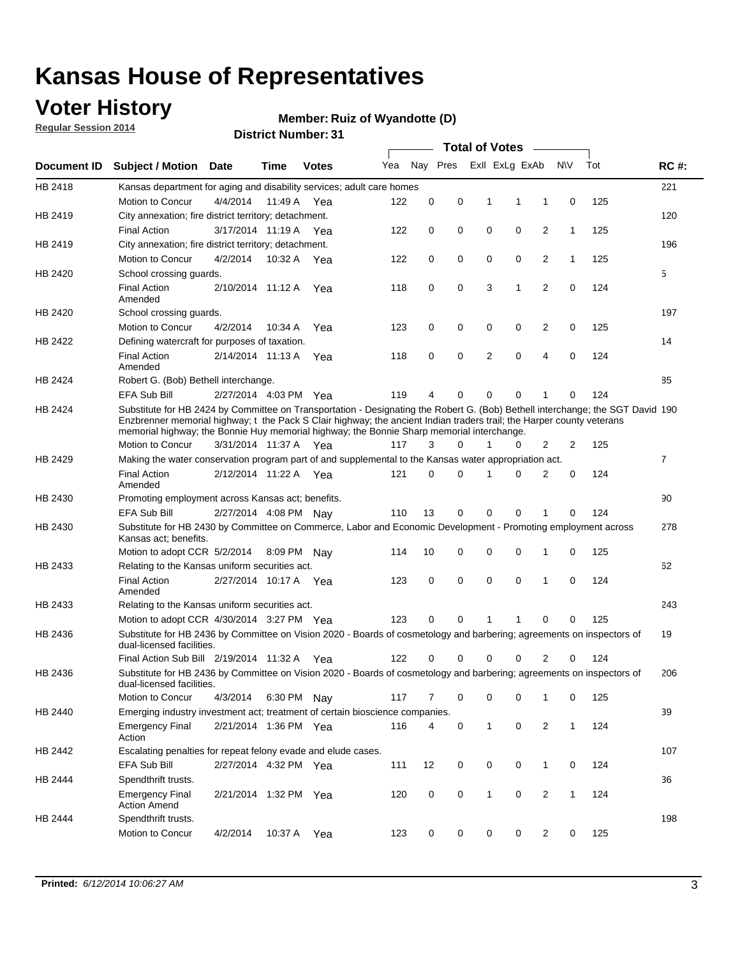### **Voter History**

**Regular Session 2014**

#### **Member: Ruiz of Wyandotte (D)**

|                |                                                                                                                                                                                                                                                                                                                                                      |                       |             | <b>DISTRICT NUMBER: 31</b> |     |          |          |              | <b>Total of Votes</b> | $\sim$         |              |     |             |
|----------------|------------------------------------------------------------------------------------------------------------------------------------------------------------------------------------------------------------------------------------------------------------------------------------------------------------------------------------------------------|-----------------------|-------------|----------------------------|-----|----------|----------|--------------|-----------------------|----------------|--------------|-----|-------------|
| Document ID    | <b>Subject / Motion</b>                                                                                                                                                                                                                                                                                                                              | <b>Date</b>           | Time        | <b>Votes</b>               | Yea |          | Nay Pres |              | Exll ExLg ExAb        |                | <b>NV</b>    | Tot | <b>RC#:</b> |
| HB 2418        | Kansas department for aging and disability services; adult care homes                                                                                                                                                                                                                                                                                |                       |             |                            |     |          |          |              |                       |                |              |     | 221         |
|                | Motion to Concur                                                                                                                                                                                                                                                                                                                                     | 4/4/2014              | 11:49 A Yea |                            | 122 | 0        | 0        | 1            | 1                     | 1              | 0            | 125 |             |
| HB 2419        | City annexation; fire district territory; detachment.                                                                                                                                                                                                                                                                                                |                       |             |                            |     |          |          |              |                       |                |              |     | 120         |
|                | <b>Final Action</b>                                                                                                                                                                                                                                                                                                                                  | 3/17/2014 11:19 A Yea |             |                            | 122 | 0        | 0        | 0            | 0                     | 2              | $\mathbf{1}$ | 125 |             |
| HB 2419        | City annexation; fire district territory; detachment.                                                                                                                                                                                                                                                                                                |                       |             |                            |     |          |          |              |                       |                |              |     | 196         |
|                | Motion to Concur                                                                                                                                                                                                                                                                                                                                     | 4/2/2014              |             | 10:32 A Yea                | 122 | 0        | 0        | 0            | 0                     | 2              | $\mathbf{1}$ | 125 |             |
| HB 2420        | School crossing guards.                                                                                                                                                                                                                                                                                                                              |                       |             |                            |     |          |          |              |                       |                |              |     | 5           |
|                | <b>Final Action</b><br>Amended                                                                                                                                                                                                                                                                                                                       | 2/10/2014 11:12 A     |             | Yea                        | 118 | 0        | 0        | 3            | 1                     | 2              | 0            | 124 |             |
| HB 2420        | School crossing guards.                                                                                                                                                                                                                                                                                                                              |                       |             |                            |     |          |          |              |                       |                |              |     | 197         |
|                | Motion to Concur                                                                                                                                                                                                                                                                                                                                     | 4/2/2014              | 10:34 A     | Yea                        | 123 | 0        | 0        | 0            | 0                     | $\overline{c}$ | 0            | 125 |             |
| HB 2422        | Defining watercraft for purposes of taxation.                                                                                                                                                                                                                                                                                                        |                       |             |                            |     |          |          |              |                       |                |              |     | 14          |
|                | <b>Final Action</b><br>Amended                                                                                                                                                                                                                                                                                                                       | 2/14/2014 11:13 A     |             | Yea                        | 118 | 0        | 0        | 2            | $\mathbf 0$           | 4              | $\mathbf 0$  | 124 |             |
| <b>HB 2424</b> | Robert G. (Bob) Bethell interchange.                                                                                                                                                                                                                                                                                                                 |                       |             |                            |     |          |          |              |                       |                |              |     | 85          |
|                | EFA Sub Bill                                                                                                                                                                                                                                                                                                                                         | 2/27/2014 4:03 PM Yea |             |                            | 119 | 4        | 0        | 0            | 0                     | 1              | $\Omega$     | 124 |             |
| HB 2424        | Substitute for HB 2424 by Committee on Transportation - Designating the Robert G. (Bob) Bethell interchange; the SGT David 190<br>Enzbrenner memorial highway; t the Pack S Clair highway; the ancient Indian traders trail; the Harper county veterans<br>memorial highway; the Bonnie Huy memorial highway; the Bonnie Sharp memorial interchange. |                       |             |                            |     |          |          |              |                       |                |              |     |             |
|                | Motion to Concur                                                                                                                                                                                                                                                                                                                                     | 3/31/2014 11:37 A Yea |             |                            | 117 | 3        | 0        |              | 0                     | 2              | 2            | 125 |             |
| HB 2429        | Making the water conservation program part of and supplemental to the Kansas water appropriation act.                                                                                                                                                                                                                                                |                       |             |                            |     |          |          |              |                       |                |              |     | 7           |
|                | <b>Final Action</b><br>Amended                                                                                                                                                                                                                                                                                                                       | 2/12/2014 11:22 A Yea |             |                            | 121 | $\Omega$ | $\Omega$ | 1            | $\Omega$              | 2              | 0            | 124 |             |
| HB 2430        | Promoting employment across Kansas act; benefits.                                                                                                                                                                                                                                                                                                    |                       |             |                            |     |          |          |              |                       |                |              |     | 90          |
|                | EFA Sub Bill                                                                                                                                                                                                                                                                                                                                         | 2/27/2014 4:08 PM Nay |             |                            | 110 | 13       | 0        | 0            | $\mathbf 0$           | 1              | $\Omega$     | 124 |             |
| HB 2430        | Substitute for HB 2430 by Committee on Commerce, Labor and Economic Development - Promoting employment across<br>Kansas act; benefits.                                                                                                                                                                                                               |                       |             |                            |     |          |          |              |                       |                |              |     | 278         |
|                | Motion to adopt CCR 5/2/2014                                                                                                                                                                                                                                                                                                                         |                       | 8:09 PM     | Nav                        | 114 | 10       | 0        | 0            | 0                     | 1              | 0            | 125 |             |
| HB 2433        | Relating to the Kansas uniform securities act.                                                                                                                                                                                                                                                                                                       |                       |             |                            |     |          |          |              |                       |                |              |     | 62          |
|                | <b>Final Action</b><br>Amended                                                                                                                                                                                                                                                                                                                       | 2/27/2014 10:17 A Yea |             |                            | 123 | 0        | 0        | 0            | 0                     | 1              | 0            | 124 |             |
| HB 2433        | Relating to the Kansas uniform securities act.                                                                                                                                                                                                                                                                                                       |                       |             |                            |     |          |          |              |                       |                |              |     | 243         |
|                | Motion to adopt CCR 4/30/2014 3:27 PM Yea                                                                                                                                                                                                                                                                                                            |                       |             |                            | 123 | 0        | 0        | 1            | 1                     | 0              | 0            | 125 |             |
| HB 2436        | Substitute for HB 2436 by Committee on Vision 2020 - Boards of cosmetology and barbering; agreements on inspectors of<br>dual-licensed facilities.                                                                                                                                                                                                   |                       |             |                            |     |          |          |              |                       |                |              |     | 19          |
|                | Final Action Sub Bill 2/19/2014 11:32 A Yea                                                                                                                                                                                                                                                                                                          |                       |             |                            | 122 | 0        | 0        | 0            | 0                     | 2              | 0            | 124 |             |
| HB 2436        | Substitute for HB 2436 by Committee on Vision 2020 - Boards of cosmetology and barbering; agreements on inspectors of<br>dual-licensed facilities.                                                                                                                                                                                                   |                       |             |                            |     |          |          |              |                       |                |              |     | 206         |
|                | <b>Motion to Concur</b>                                                                                                                                                                                                                                                                                                                              | 4/3/2014              |             | 6:30 PM Nav                | 117 | 7        | 0        | 0            | 0                     | 1              | 0            | 125 |             |
| HB 2440        | Emerging industry investment act; treatment of certain bioscience companies.                                                                                                                                                                                                                                                                         |                       |             |                            |     |          |          |              |                       |                |              |     | 39          |
|                | <b>Emergency Final</b><br>Action                                                                                                                                                                                                                                                                                                                     | 2/21/2014 1:36 PM Yea |             |                            | 116 | 4        | 0        | $\mathbf{1}$ | 0                     | 2              | $\mathbf{1}$ | 124 |             |
| HB 2442        | Escalating penalties for repeat felony evade and elude cases.                                                                                                                                                                                                                                                                                        |                       |             |                            |     |          |          |              |                       |                |              |     | 107         |
|                | EFA Sub Bill                                                                                                                                                                                                                                                                                                                                         | 2/27/2014 4:32 PM Yea |             |                            | 111 | 12       | 0        | 0            | 0                     | $\mathbf{1}$   | 0            | 124 |             |
| HB 2444        | Spendthrift trusts.                                                                                                                                                                                                                                                                                                                                  |                       |             |                            |     |          |          |              |                       |                |              |     | 36          |
|                | <b>Emergency Final</b><br><b>Action Amend</b>                                                                                                                                                                                                                                                                                                        | 2/21/2014 1:32 PM Yea |             |                            | 120 | 0        | 0        | $\mathbf{1}$ | 0                     | $\overline{2}$ | $\mathbf{1}$ | 124 |             |
| HB 2444        | Spendthrift trusts.                                                                                                                                                                                                                                                                                                                                  |                       |             |                            |     |          |          |              |                       |                |              |     | 198         |
|                | Motion to Concur                                                                                                                                                                                                                                                                                                                                     | 4/2/2014              | 10:37 A     | Yea                        | 123 | 0        | 0        | 0            | 0                     | 2              | 0            | 125 |             |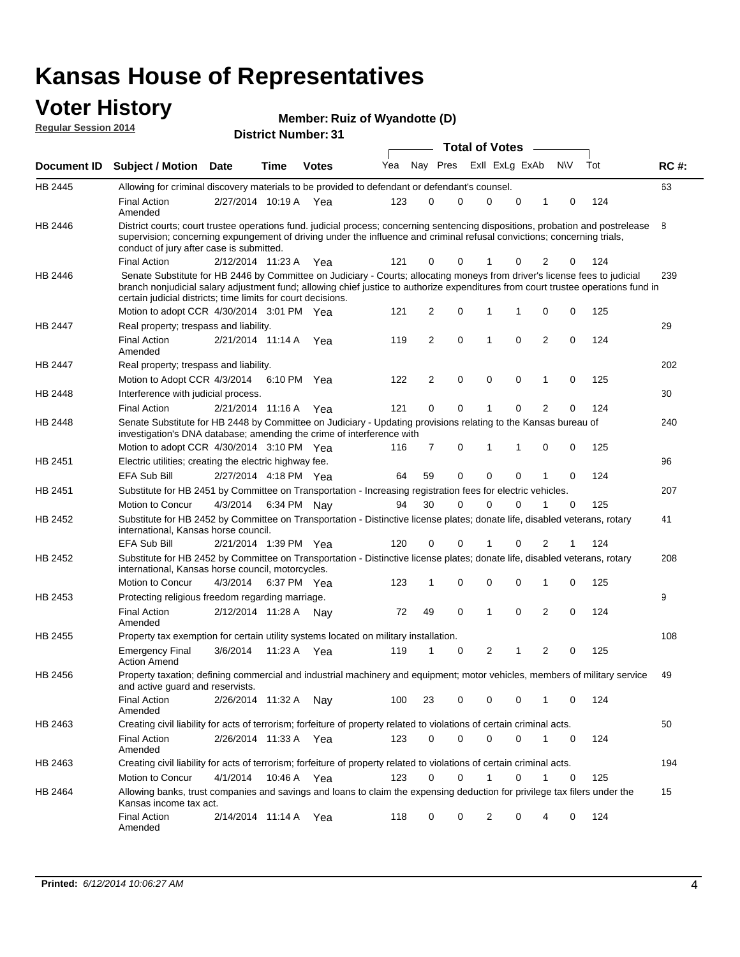# **Voter History Member: Regular Session 2014**

| Member: Ruiz of Wyandotte (D) |  |  |
|-------------------------------|--|--|
|-------------------------------|--|--|

| noguidi ocoololi 4017 |                                                                                                                                                                                                                                                                                                                                 |                       |             | <b>District Number: 31</b> |     |    |          |             |                       |             |                |             |     |             |
|-----------------------|---------------------------------------------------------------------------------------------------------------------------------------------------------------------------------------------------------------------------------------------------------------------------------------------------------------------------------|-----------------------|-------------|----------------------------|-----|----|----------|-------------|-----------------------|-------------|----------------|-------------|-----|-------------|
|                       |                                                                                                                                                                                                                                                                                                                                 |                       |             |                            |     |    |          |             | <b>Total of Votes</b> |             |                |             |     |             |
| Document ID           | <b>Subject / Motion Date</b>                                                                                                                                                                                                                                                                                                    |                       | <b>Time</b> | <b>Votes</b>               | Yea |    | Nay Pres |             | Exll ExLg ExAb        |             |                | <b>NV</b>   | Tot | <b>RC#:</b> |
| HB 2445               | Allowing for criminal discovery materials to be provided to defendant or defendant's counsel.                                                                                                                                                                                                                                   |                       |             |                            |     |    |          |             |                       |             |                |             |     | 63          |
|                       | <b>Final Action</b><br>Amended                                                                                                                                                                                                                                                                                                  | 2/27/2014 10:19 A Yea |             |                            | 123 |    | 0        | $\mathbf 0$ | 0                     | $\mathbf 0$ |                | $\mathbf 0$ | 124 |             |
| HB 2446               | District courts; court trustee operations fund. judicial process; concerning sentencing dispositions, probation and postrelease<br>supervision; concerning expungement of driving under the influence and criminal refusal convictions; concerning trials,<br>conduct of jury after case is submitted.                          |                       |             |                            |     |    |          |             |                       |             |                |             |     | 8           |
|                       | <b>Final Action</b>                                                                                                                                                                                                                                                                                                             | 2/12/2014 11:23 A Yea |             |                            | 121 |    | 0        | 0           |                       | 0           | 2              | 0           | 124 |             |
| HB 2446               | Senate Substitute for HB 2446 by Committee on Judiciary - Courts; allocating moneys from driver's license fees to judicial<br>branch nonjudicial salary adjustment fund; allowing chief justice to authorize expenditures from court trustee operations fund in<br>certain judicial districts; time limits for court decisions. |                       |             |                            |     |    |          | $\mathbf 0$ | 1                     | 1           | $\mathbf 0$    |             | 125 | 239         |
|                       | Motion to adopt CCR 4/30/2014 3:01 PM Yea                                                                                                                                                                                                                                                                                       |                       |             |                            | 121 |    | 2        |             |                       |             |                | 0           |     |             |
| HB 2447               | Real property; trespass and liability.<br><b>Final Action</b><br>Amended                                                                                                                                                                                                                                                        | 2/21/2014 11:14 A Yea |             |                            | 119 |    | 2        | $\mathbf 0$ | 1                     | $\Omega$    | $\overline{2}$ | $\mathbf 0$ | 124 | 29          |
| HB 2447               | Real property; trespass and liability.                                                                                                                                                                                                                                                                                          |                       |             |                            |     |    |          |             |                       |             |                |             |     | 202         |
|                       | Motion to Adopt CCR 4/3/2014 6:10 PM Yea                                                                                                                                                                                                                                                                                        |                       |             |                            | 122 |    | 2        | 0           | $\mathbf 0$           | $\mathbf 0$ | 1              | 0           | 125 |             |
| HB 2448               | Interference with judicial process.                                                                                                                                                                                                                                                                                             |                       |             |                            |     |    |          |             |                       |             |                |             |     | 30          |
|                       | <b>Final Action</b>                                                                                                                                                                                                                                                                                                             | 2/21/2014 11:16 A Yea |             |                            | 121 |    | 0        | 0           |                       | 0           | $\overline{2}$ | $\Omega$    | 124 |             |
| <b>HB 2448</b>        | Senate Substitute for HB 2448 by Committee on Judiciary - Updating provisions relating to the Kansas bureau of<br>investigation's DNA database; amending the crime of interference with                                                                                                                                         |                       |             |                            |     |    |          |             |                       |             |                |             |     | 240         |
|                       | Motion to adopt CCR 4/30/2014 3:10 PM Yea                                                                                                                                                                                                                                                                                       |                       |             |                            | 116 |    | 7        | 0           | 1                     | 1           | 0              | 0           | 125 |             |
| HB 2451               | Electric utilities; creating the electric highway fee.                                                                                                                                                                                                                                                                          |                       |             |                            |     |    |          |             |                       |             |                |             |     | 96          |
|                       | <b>EFA Sub Bill</b>                                                                                                                                                                                                                                                                                                             | 2/27/2014 4:18 PM Yea |             |                            | 64  | 59 |          | $\mathbf 0$ | 0                     | 0           | 1              | $\Omega$    | 124 |             |
| HB 2451               | Substitute for HB 2451 by Committee on Transportation - Increasing registration fees for electric vehicles.                                                                                                                                                                                                                     |                       |             |                            |     |    |          |             |                       |             |                |             |     | 207         |
|                       | Motion to Concur                                                                                                                                                                                                                                                                                                                | 4/3/2014              |             | 6:34 PM Nay                | 94  | 30 |          | $\mathbf 0$ | $\Omega$              | $\Omega$    | 1              | 0           | 125 |             |
| HB 2452               | Substitute for HB 2452 by Committee on Transportation - Distinctive license plates; donate life, disabled veterans, rotary<br>international, Kansas horse council.                                                                                                                                                              |                       |             |                            |     |    |          |             |                       |             |                |             |     | 41          |
|                       | <b>EFA Sub Bill</b>                                                                                                                                                                                                                                                                                                             | 2/21/2014 1:39 PM Yea |             |                            | 120 |    | 0        | 0           |                       | 0           | 2              |             | 124 |             |
| HB 2452               | Substitute for HB 2452 by Committee on Transportation - Distinctive license plates; donate life, disabled veterans, rotary<br>international, Kansas horse council, motorcycles.                                                                                                                                                 |                       |             |                            |     |    |          |             |                       |             |                |             |     | 208         |
|                       | Motion to Concur                                                                                                                                                                                                                                                                                                                | 4/3/2014              |             | 6:37 PM Yea                | 123 |    | 1        | 0           | 0                     | 0           | 1              | 0           | 125 |             |
| HB 2453               | Protecting religious freedom regarding marriage.                                                                                                                                                                                                                                                                                |                       |             |                            |     |    |          |             |                       |             |                |             |     | 9           |
|                       | <b>Final Action</b><br>Amended                                                                                                                                                                                                                                                                                                  | 2/12/2014 11:28 A     |             | Nav                        | 72  | 49 |          | 0           | 1                     | $\mathbf 0$ | $\overline{2}$ | $\mathbf 0$ | 124 |             |
| HB 2455               | Property tax exemption for certain utility systems located on military installation.                                                                                                                                                                                                                                            |                       |             |                            |     |    |          |             |                       |             |                |             |     | 108         |
|                       | <b>Emergency Final</b><br><b>Action Amend</b>                                                                                                                                                                                                                                                                                   | 3/6/2014              |             | 11:23 A Yea                | 119 |    |          | 0           | 2                     | 1           | $\overline{2}$ | $\mathbf 0$ | 125 |             |
| HB 2456               | Property taxation; defining commercial and industrial machinery and equipment; motor vehicles, members of military service<br>and active guard and reservists.                                                                                                                                                                  |                       |             |                            |     |    |          |             |                       |             |                |             |     | 49          |
|                       | <b>Final Action</b><br>Amended                                                                                                                                                                                                                                                                                                  | 2/26/2014 11:32 A Nay |             |                            | 100 | 23 |          | 0           | 0                     | 0           | 1              | 0           | 124 |             |
| HB 2463               | Creating civil liability for acts of terrorism; forfeiture of property related to violations of certain criminal acts.                                                                                                                                                                                                          |                       |             |                            |     |    |          |             |                       |             |                |             |     | 50          |
|                       | <b>Final Action</b><br>Amended                                                                                                                                                                                                                                                                                                  | 2/26/2014 11:33 A Yea |             |                            | 123 |    | 0        | $\mathbf 0$ | $\mathbf 0$           | 0           | $\mathbf{1}$   | 0           | 124 |             |
| HB 2463               | Creating civil liability for acts of terrorism; forfeiture of property related to violations of certain criminal acts.                                                                                                                                                                                                          |                       |             |                            |     |    |          |             |                       |             |                |             |     | 194         |
|                       | Motion to Concur                                                                                                                                                                                                                                                                                                                | 4/1/2014              |             | 10:46 A Yea                | 123 |    | 0        | 0           | 1                     | 0           | 1              | 0           | 125 |             |
| HB 2464               | Allowing banks, trust companies and savings and loans to claim the expensing deduction for privilege tax filers under the<br>Kansas income tax act.                                                                                                                                                                             |                       |             |                            |     |    |          |             |                       |             |                |             |     | 15          |
|                       | <b>Final Action</b><br>Amended                                                                                                                                                                                                                                                                                                  | 2/14/2014 11:14 A Yea |             |                            | 118 |    | 0        | 0           | 2                     | 0           | 4              | 0           | 124 |             |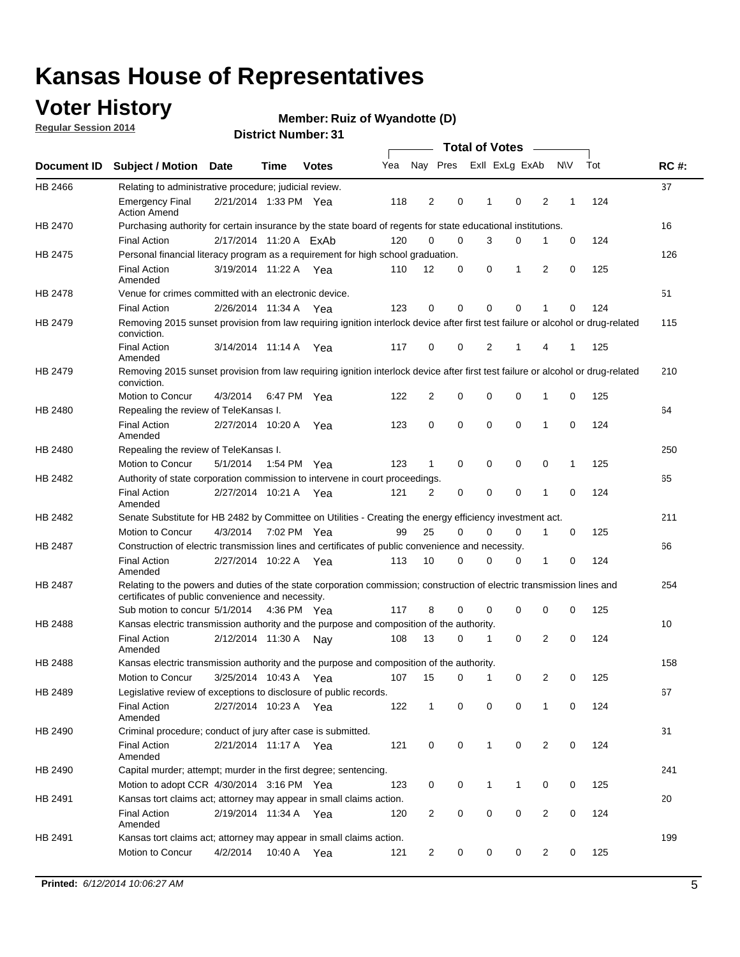### **Voter History**

**Regular Session 2014**

#### **Member: Ruiz of Wyandotte (D)**

|                |                                                                                                                                                                             |                        |             |              |     |                |             | <b>Total of Votes</b> |              |                |   |             |     |             |
|----------------|-----------------------------------------------------------------------------------------------------------------------------------------------------------------------------|------------------------|-------------|--------------|-----|----------------|-------------|-----------------------|--------------|----------------|---|-------------|-----|-------------|
|                | Document ID Subject / Motion Date                                                                                                                                           |                        | Time        | <b>Votes</b> | Yea |                | Nay Pres    |                       |              | Exll ExLg ExAb |   | <b>NV</b>   | Tot | <b>RC#:</b> |
| HB 2466        | Relating to administrative procedure; judicial review.                                                                                                                      |                        |             |              |     |                |             |                       |              |                |   |             |     | 37          |
|                | <b>Emergency Final</b><br><b>Action Amend</b>                                                                                                                               | 2/21/2014 1:33 PM Yea  |             |              | 118 | 2              | 0           |                       | 1            | 0              | 2 | 1           | 124 |             |
| <b>HB 2470</b> | Purchasing authority for certain insurance by the state board of regents for state educational institutions.                                                                |                        |             |              |     |                |             |                       |              |                |   |             |     | 16          |
|                | <b>Final Action</b>                                                                                                                                                         | 2/17/2014 11:20 A ExAb |             |              | 120 | 0              | 0           |                       | 3            | 0              | 1 | 0           | 124 |             |
| HB 2475        | Personal financial literacy program as a requirement for high school graduation.                                                                                            |                        |             |              |     |                |             |                       |              |                |   |             |     | 126         |
|                | <b>Final Action</b><br>Amended                                                                                                                                              | 3/19/2014 11:22 A Yea  |             |              | 110 | 12             | 0           |                       | 0            | 1              | 2 | $\mathbf 0$ | 125 |             |
| HB 2478        | Venue for crimes committed with an electronic device.                                                                                                                       |                        |             |              |     |                |             |                       |              |                |   |             |     | 51          |
|                | <b>Final Action</b>                                                                                                                                                         | 2/26/2014 11:34 A      |             | Yea          | 123 | 0              | 0           |                       | $\mathbf 0$  | $\mathbf 0$    | 1 | 0           | 124 |             |
| HB 2479        | Removing 2015 sunset provision from law requiring ignition interlock device after first test failure or alcohol or drug-related<br>conviction.                              |                        |             |              |     |                |             |                       |              |                |   |             |     | 115         |
|                | <b>Final Action</b><br>Amended                                                                                                                                              | 3/14/2014 11:14 A      |             | Yea          | 117 | $\mathbf 0$    | 0           |                       | 2            | 1              | 4 | 1           | 125 |             |
| HB 2479        | Removing 2015 sunset provision from law requiring ignition interlock device after first test failure or alcohol or drug-related<br>conviction.                              |                        |             |              |     |                |             |                       |              |                |   |             |     | 210         |
|                | <b>Motion to Concur</b>                                                                                                                                                     | 4/3/2014               |             | 6:47 PM Yea  | 122 | $\overline{2}$ | 0           |                       | 0            | $\mathbf 0$    | 1 | 0           | 125 |             |
| HB 2480        | Repealing the review of TeleKansas I.                                                                                                                                       |                        |             |              |     |                |             |                       |              |                |   |             |     | 64          |
|                | <b>Final Action</b><br>Amended                                                                                                                                              | 2/27/2014 10:20 A      |             | Yea          | 123 | 0              | 0           |                       | $\mathbf 0$  | $\mathbf 0$    | 1 | 0           | 124 |             |
| HB 2480        | Repealing the review of TeleKansas I.                                                                                                                                       |                        |             |              |     |                |             |                       |              |                |   |             |     | 250         |
|                | Motion to Concur                                                                                                                                                            | 5/1/2014               |             | 1:54 PM Yea  | 123 | 1              | 0           |                       | 0            | 0              | 0 | 1           | 125 |             |
| <b>HB 2482</b> | Authority of state corporation commission to intervene in court proceedings.                                                                                                |                        |             |              |     |                |             |                       |              |                |   |             |     | 65          |
|                | <b>Final Action</b><br>Amended                                                                                                                                              | 2/27/2014 10:21 A      |             | Yea          | 121 | $\overline{2}$ | 0           |                       | $\mathbf 0$  | $\mathbf 0$    | 1 | $\mathbf 0$ | 124 |             |
| HB 2482        | Senate Substitute for HB 2482 by Committee on Utilities - Creating the energy efficiency investment act.                                                                    |                        |             |              |     |                |             |                       |              |                |   |             |     | 211         |
|                | Motion to Concur                                                                                                                                                            | 4/3/2014               | 7:02 PM Yea |              | 99  | 25             | $\mathbf 0$ |                       | 0            | $\mathbf 0$    | 1 | 0           | 125 |             |
| HB 2487        | Construction of electric transmission lines and certificates of public convenience and necessity.                                                                           |                        |             |              |     |                |             |                       |              |                |   |             |     | 66          |
|                | <b>Final Action</b><br>Amended                                                                                                                                              | 2/27/2014 10:22 A      |             | Yea          | 113 | 10             | 0           |                       | 0            | 0              | 1 | 0           | 124 |             |
| HB 2487        | Relating to the powers and duties of the state corporation commission; construction of electric transmission lines and<br>certificates of public convenience and necessity. |                        |             |              |     |                |             |                       |              |                |   |             |     | 254         |
|                | Sub motion to concur 5/1/2014                                                                                                                                               |                        |             | 4:36 PM Yea  | 117 | 8              | 0           |                       | 0            | 0              | 0 | 0           | 125 |             |
| <b>HB 2488</b> | Kansas electric transmission authority and the purpose and composition of the authority.                                                                                    |                        |             |              |     |                |             |                       |              |                |   |             |     | 10          |
|                | <b>Final Action</b><br>Amended                                                                                                                                              | 2/12/2014 11:30 A      |             | Nav          | 108 | 13             | 0           |                       | 1            | 0              | 2 | 0           | 124 |             |
| <b>HB 2488</b> | Kansas electric transmission authority and the purpose and composition of the authority.                                                                                    |                        |             |              |     |                |             |                       |              |                |   |             |     | 158         |
|                | Motion to Concur                                                                                                                                                            | 3/25/2014 10:43 A      |             | Yea          | 107 | 15             | 0           |                       | 1            | 0              | 2 | 0           | 125 |             |
| HB 2489        | Legislative review of exceptions to disclosure of public records.                                                                                                           |                        |             |              |     |                |             |                       |              |                |   |             |     | 67          |
|                | <b>Final Action</b><br>Amended                                                                                                                                              | 2/27/2014 10:23 A Yea  |             |              | 122 | $\mathbf 1$    | 0           |                       | 0            | 0              | 1 | 0           | 124 |             |
| HB 2490        | Criminal procedure; conduct of jury after case is submitted.                                                                                                                |                        |             |              |     |                |             |                       |              |                |   |             |     | 31          |
|                | <b>Final Action</b><br>Amended                                                                                                                                              | 2/21/2014 11:17 A Yea  |             |              | 121 | 0              | 0           |                       | $\mathbf{1}$ | $\mathbf 0$    | 2 | 0           | 124 |             |
| HB 2490        | Capital murder; attempt; murder in the first degree; sentencing.                                                                                                            |                        |             |              |     |                |             |                       |              |                |   |             |     | 241         |
|                | Motion to adopt CCR 4/30/2014 3:16 PM Yea                                                                                                                                   |                        |             |              | 123 | 0              | 0           |                       | $\mathbf 1$  | 1              | 0 | 0           | 125 |             |
| HB 2491        | Kansas tort claims act; attorney may appear in small claims action.                                                                                                         |                        |             |              |     |                |             |                       |              |                |   |             |     | 20          |
|                | <b>Final Action</b><br>Amended                                                                                                                                              | 2/19/2014 11:34 A Yea  |             |              | 120 | $\overline{c}$ | 0           |                       | 0            | $\pmb{0}$      | 2 | 0           | 124 |             |
| HB 2491        | Kansas tort claims act; attorney may appear in small claims action.                                                                                                         |                        |             |              |     |                |             |                       |              |                |   |             |     | 199         |
|                | Motion to Concur                                                                                                                                                            | 4/2/2014               |             | 10:40 A Yea  | 121 | 2              | 0           |                       | 0            | 0              | 2 | 0           | 125 |             |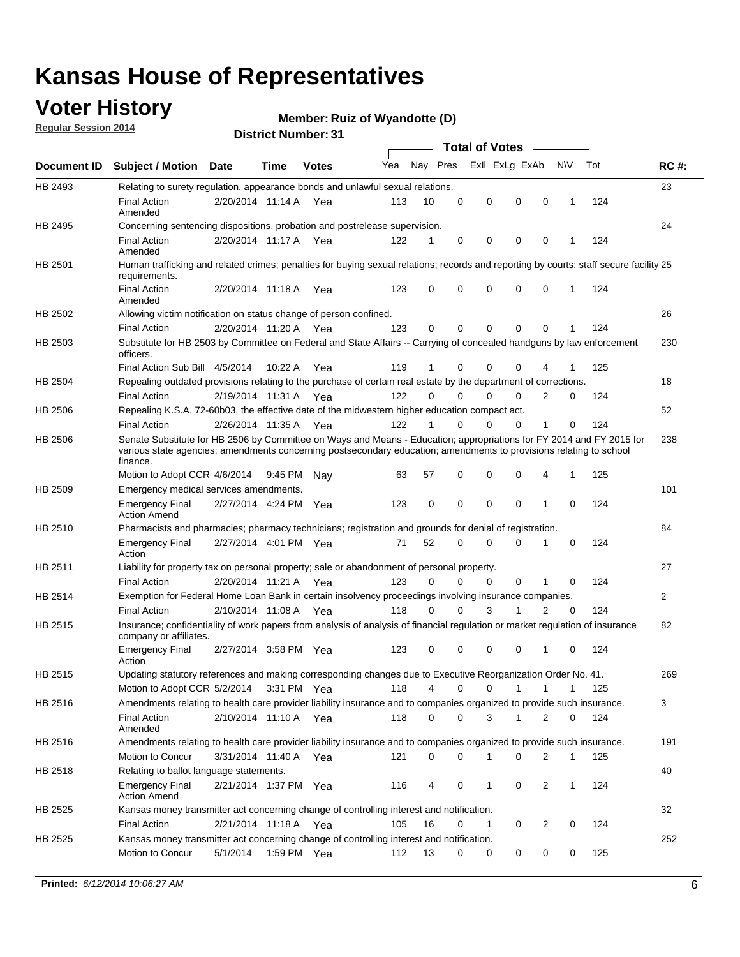### **Voter History**

**Regular Session 2014**

#### **Member: Ruiz of Wyandotte (D)**

|                    |                                                                                                                                                                                                                                                        |                       |         |              |     |          |          | <b>Total of Votes</b> |              |                |              |     |             |
|--------------------|--------------------------------------------------------------------------------------------------------------------------------------------------------------------------------------------------------------------------------------------------------|-----------------------|---------|--------------|-----|----------|----------|-----------------------|--------------|----------------|--------------|-----|-------------|
| <b>Document ID</b> | <b>Subject / Motion Date</b>                                                                                                                                                                                                                           |                       | Time    | <b>Votes</b> | Yea | Nay Pres |          | Exll ExLg ExAb        |              |                | <b>NV</b>    | Tot | <b>RC#:</b> |
| HB 2493            | Relating to surety regulation, appearance bonds and unlawful sexual relations.                                                                                                                                                                         |                       |         |              |     |          |          |                       |              |                |              |     | 23          |
|                    | <b>Final Action</b><br>Amended                                                                                                                                                                                                                         | 2/20/2014 11:14 A     |         | Yea          | 113 | 10       | 0        | 0                     | 0            | 0              | 1            | 124 |             |
| HB 2495            | Concerning sentencing dispositions, probation and postrelease supervision.                                                                                                                                                                             |                       |         |              |     |          |          |                       |              |                |              |     | 24          |
|                    | Final Action<br>Amended                                                                                                                                                                                                                                | 2/20/2014 11:17 A Yea |         |              | 122 | 1        | 0        | 0                     | 0            | 0              | 1            | 124 |             |
| HB 2501            | Human trafficking and related crimes; penalties for buying sexual relations; records and reporting by courts; staff secure facility 25<br>requirements.                                                                                                |                       |         |              |     |          |          |                       |              |                |              |     |             |
|                    | <b>Final Action</b><br>Amended                                                                                                                                                                                                                         | 2/20/2014 11:18 A Yea |         |              | 123 | $\Omega$ | 0        | 0                     | 0            | 0              | 1            | 124 |             |
| HB 2502            | Allowing victim notification on status change of person confined.                                                                                                                                                                                      |                       |         |              |     |          |          |                       |              |                |              |     | 26          |
|                    | Final Action                                                                                                                                                                                                                                           | 2/20/2014 11:20 A Yea |         |              | 123 | 0        | 0        | $\Omega$              | $\mathbf{0}$ | 0              |              | 124 |             |
| HB 2503            | Substitute for HB 2503 by Committee on Federal and State Affairs -- Carrying of concealed handguns by law enforcement<br>officers.                                                                                                                     |                       |         |              |     |          |          |                       |              |                |              |     | 230         |
|                    | Final Action Sub Bill 4/5/2014                                                                                                                                                                                                                         |                       | 10:22 A | Yea          | 119 |          | 0        | 0                     | 0            | 4              |              | 125 |             |
| HB 2504            | Repealing outdated provisions relating to the purchase of certain real estate by the department of corrections.                                                                                                                                        |                       |         |              |     |          |          |                       |              |                |              |     | 18          |
|                    | <b>Final Action</b>                                                                                                                                                                                                                                    | 2/19/2014 11:31 A Yea |         |              | 122 | $\Omega$ | 0        | $\Omega$              | $\Omega$     | 2              | 0            | 124 |             |
| HB 2506            | Repealing K.S.A. 72-60b03, the effective date of the midwestern higher education compact act.                                                                                                                                                          |                       |         |              |     |          |          |                       |              |                |              |     | 52          |
|                    | <b>Final Action</b>                                                                                                                                                                                                                                    | 2/26/2014 11:35 A Yea |         |              | 122 |          | 0        | 0                     | 0            | 1              | 0            | 124 |             |
| HB 2506            | Senate Substitute for HB 2506 by Committee on Ways and Means - Education; appropriations for FY 2014 and FY 2015 for<br>various state agencies; amendments concerning postsecondary education; amendments to provisions relating to school<br>finance. |                       |         |              |     |          |          |                       |              |                |              |     | 238         |
|                    | Motion to Adopt CCR 4/6/2014                                                                                                                                                                                                                           |                       | 9:45 PM | Nav          | 63  | 57       | 0        | 0                     | 0            | 4              | 1            | 125 |             |
| HB 2509            | Emergency medical services amendments.                                                                                                                                                                                                                 |                       |         |              |     |          |          |                       |              |                |              |     | 101         |
|                    | <b>Emergency Final</b><br><b>Action Amend</b>                                                                                                                                                                                                          | 2/27/2014 4:24 PM Yea |         |              | 123 | 0        | 0        | 0                     | 0            | 1              | $\mathbf 0$  | 124 |             |
| HB 2510            | Pharmacists and pharmacies; pharmacy technicians; registration and grounds for denial of registration.                                                                                                                                                 |                       |         |              |     |          |          |                       |              |                |              |     | 84          |
|                    | <b>Emergency Final</b><br>Action                                                                                                                                                                                                                       | 2/27/2014 4:01 PM Yea |         |              | 71  | 52       | 0        | 0                     | 0            | 1              | 0            | 124 |             |
| HB 2511            | Liability for property tax on personal property; sale or abandonment of personal property.                                                                                                                                                             |                       |         |              |     |          |          |                       |              |                |              |     | 27          |
|                    | <b>Final Action</b>                                                                                                                                                                                                                                    | 2/20/2014 11:21 A Yea |         |              | 123 | $\Omega$ | 0        | 0                     | 0            | 1              | $\mathbf 0$  | 124 |             |
| HB 2514            | Exemption for Federal Home Loan Bank in certain insolvency proceedings involving insurance companies.                                                                                                                                                  |                       |         |              |     |          |          |                       |              |                |              |     | 2           |
|                    | <b>Final Action</b>                                                                                                                                                                                                                                    | 2/10/2014 11:08 A Yea |         |              | 118 | $\Omega$ | $\Omega$ | 3                     | 1            | $\overline{2}$ | $\mathbf 0$  | 124 |             |
| HB 2515            | Insurance; confidentiality of work papers from analysis of analysis of financial regulation or market regulation of insurance<br>company or affiliates.                                                                                                |                       |         |              |     |          |          |                       |              |                |              |     | 82          |
|                    | <b>Emergency Final</b><br>Action                                                                                                                                                                                                                       | 2/27/2014 3:58 PM Yea |         |              | 123 | 0        | 0        | 0                     | 0            | 1              | 0            | 124 |             |
| HB 2515            | Updating statutory references and making corresponding changes due to Executive Reorganization Order No. 41.                                                                                                                                           |                       |         |              |     |          |          |                       |              |                |              |     | 269         |
|                    | Motion to Adopt CCR 5/2/2014 3:31 PM Yea                                                                                                                                                                                                               |                       |         |              | 118 | 4        | 0        | 0                     | 1            | $\mathbf{1}$   | $\mathbf{1}$ | 125 |             |
| HB 2516            | Amendments relating to health care provider liability insurance and to companies organized to provide such insurance.                                                                                                                                  |                       |         |              |     |          |          |                       |              |                |              |     | 3           |
|                    | <b>Final Action</b><br>Amended                                                                                                                                                                                                                         | 2/10/2014 11:10 A Yea |         |              | 118 | 0        | 0        | 3                     | $\mathbf{1}$ | 2              | 0            | 124 |             |
| HB 2516            | Amendments relating to health care provider liability insurance and to companies organized to provide such insurance.                                                                                                                                  |                       |         |              |     |          |          |                       |              |                |              |     | 191         |
|                    | <b>Motion to Concur</b>                                                                                                                                                                                                                                | 3/31/2014 11:40 A Yea |         |              | 121 | 0        | 0        | 1                     | 0            | 2              | 1            | 125 |             |
| HB 2518            | Relating to ballot language statements.                                                                                                                                                                                                                |                       |         |              |     |          |          |                       |              |                |              |     | 40          |
|                    | Emergency Final<br><b>Action Amend</b>                                                                                                                                                                                                                 | 2/21/2014 1:37 PM Yea |         |              | 116 | 4        | 0        | 1                     | 0            | 2              | 1            | 124 |             |
| HB 2525            | Kansas money transmitter act concerning change of controlling interest and notification.                                                                                                                                                               |                       |         |              |     |          |          |                       |              |                |              |     | 32          |
|                    | Final Action                                                                                                                                                                                                                                           | 2/21/2014 11:18 A Yea |         |              | 105 | 16       | 0        | $\mathbf{1}$          | 0            | 2              | 0            | 124 |             |
| HB 2525            | Kansas money transmitter act concerning change of controlling interest and notification.                                                                                                                                                               |                       |         |              |     |          |          |                       |              |                |              |     | 252         |
|                    | Motion to Concur                                                                                                                                                                                                                                       | 5/1/2014              |         | 1:59 PM Yea  | 112 | 13       | 0        | 0                     | 0            | 0              | 0            | 125 |             |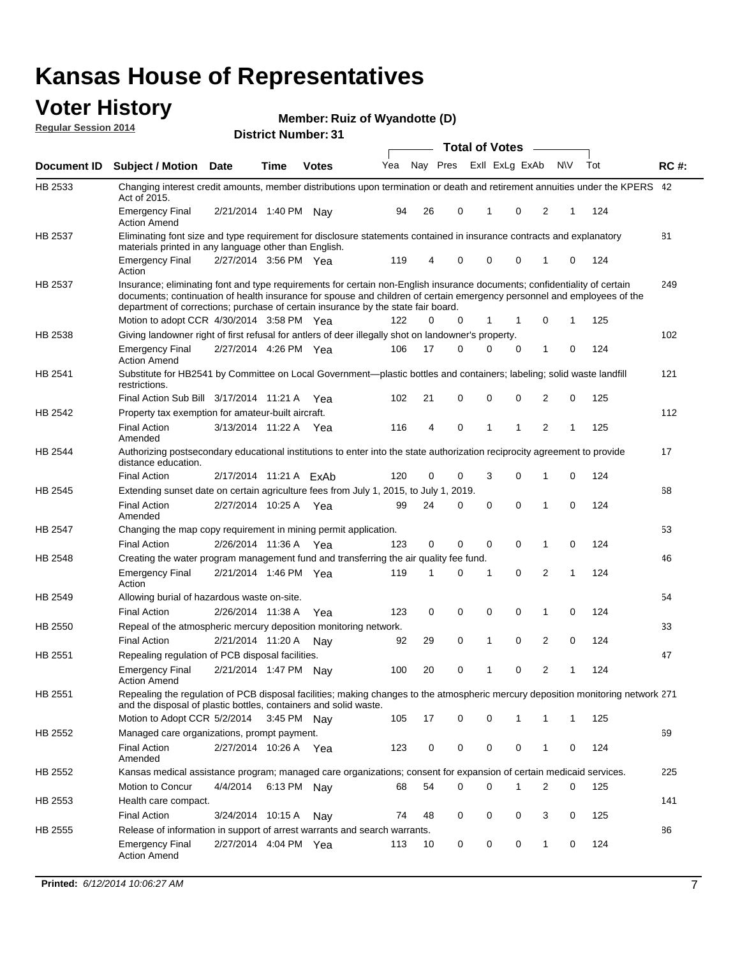#### **Voter History Regular Session 2014**

|                |                                                                                                                                                                                                                                                                                                                                           |                        |             | ו ט . ושעווווטדו ועו ווסוע |     |    |             | <b>Total of Votes</b> |                |                |              |     |             |
|----------------|-------------------------------------------------------------------------------------------------------------------------------------------------------------------------------------------------------------------------------------------------------------------------------------------------------------------------------------------|------------------------|-------------|----------------------------|-----|----|-------------|-----------------------|----------------|----------------|--------------|-----|-------------|
| Document ID    | <b>Subject / Motion Date</b>                                                                                                                                                                                                                                                                                                              |                        | Time        | <b>Votes</b>               | Yea |    | Nay Pres    |                       | Exll ExLg ExAb | N\V            |              | Tot | <b>RC#:</b> |
| HB 2533        | Changing interest credit amounts, member distributions upon termination or death and retirement annuities under the KPERS 42<br>Act of 2015.                                                                                                                                                                                              |                        |             |                            |     |    |             |                       |                |                |              |     |             |
|                | <b>Emergency Final</b><br><b>Action Amend</b>                                                                                                                                                                                                                                                                                             | 2/21/2014 1:40 PM Nav  |             |                            | 94  | 26 | 0           | $\mathbf{1}$          | 0              | 2              | 1            | 124 |             |
| HB 2537        | Eliminating font size and type requirement for disclosure statements contained in insurance contracts and explanatory<br>materials printed in any language other than English.                                                                                                                                                            |                        |             |                            |     |    |             |                       |                |                |              |     | 81          |
|                | <b>Emergency Final</b><br>Action                                                                                                                                                                                                                                                                                                          | 2/27/2014 3:56 PM Yea  |             |                            | 119 | 4  | 0           | 0                     | 0              | 1              | 0            | 124 |             |
| HB 2537        | Insurance; eliminating font and type requirements for certain non-English insurance documents; confidentiality of certain<br>documents; continuation of health insurance for spouse and children of certain emergency personnel and employees of the<br>department of corrections; purchase of certain insurance by the state fair board. |                        |             |                            |     |    |             |                       |                |                |              |     | 249         |
|                | Motion to adopt CCR 4/30/2014 3:58 PM Yea                                                                                                                                                                                                                                                                                                 |                        |             |                            | 122 | 0  | 0           | 1                     | -1             | 0              | 1            | 125 |             |
| HB 2538        | Giving landowner right of first refusal for antlers of deer illegally shot on landowner's property.                                                                                                                                                                                                                                       |                        |             |                            |     |    |             |                       |                |                |              |     | 102         |
|                | <b>Emergency Final</b><br><b>Action Amend</b>                                                                                                                                                                                                                                                                                             | 2/27/2014 4:26 PM Yea  |             |                            | 106 | 17 | 0           | 0                     | 0              | 1              | 0            | 124 |             |
| HB 2541        | Substitute for HB2541 by Committee on Local Government—plastic bottles and containers; labeling; solid waste landfill<br>restrictions.                                                                                                                                                                                                    |                        |             |                            |     |    |             |                       |                |                |              |     | 121         |
|                | Final Action Sub Bill 3/17/2014 11:21 A Yea                                                                                                                                                                                                                                                                                               |                        |             |                            | 102 | 21 | 0           | $\mathbf 0$           | 0              | 2              | 0            | 125 |             |
| HB 2542        | Property tax exemption for amateur-built aircraft.<br><b>Final Action</b>                                                                                                                                                                                                                                                                 | 3/13/2014 11:22 A Yea  |             |                            | 116 | 4  | 0           | $\mathbf{1}$          | 1              | 2              | 1            | 125 | 112         |
| HB 2544        | Amended<br>Authorizing postsecondary educational institutions to enter into the state authorization reciprocity agreement to provide<br>distance education.                                                                                                                                                                               |                        |             |                            |     |    |             |                       |                |                |              |     | 17          |
|                | <b>Final Action</b>                                                                                                                                                                                                                                                                                                                       | 2/17/2014 11:21 A ExAb |             |                            | 120 | 0  | 0           | 3                     | 0              | 1              | 0            | 124 |             |
| HB 2545        | Extending sunset date on certain agriculture fees from July 1, 2015, to July 1, 2019.                                                                                                                                                                                                                                                     |                        |             |                            |     |    |             |                       |                |                |              |     | 68          |
|                | <b>Final Action</b><br>Amended                                                                                                                                                                                                                                                                                                            | 2/27/2014 10:25 A Yea  |             |                            | 99  | 24 | 0           | $\mathbf 0$           | $\Omega$       | 1              | 0            | 124 |             |
| <b>HB 2547</b> | Changing the map copy requirement in mining permit application.                                                                                                                                                                                                                                                                           |                        |             |                            |     |    |             |                       |                |                |              |     | 53          |
|                | <b>Final Action</b>                                                                                                                                                                                                                                                                                                                       | 2/26/2014 11:36 A      |             | Yea                        | 123 | 0  | 0           | 0                     | 0              | 1              | 0            | 124 |             |
| HB 2548        | Creating the water program management fund and transferring the air quality fee fund.                                                                                                                                                                                                                                                     |                        |             |                            |     |    |             |                       |                |                |              |     | 46          |
|                | <b>Emergency Final</b><br>Action                                                                                                                                                                                                                                                                                                          | 2/21/2014 1:46 PM Yea  |             |                            | 119 | 1  | 0           | 1                     | 0              | 2              | $\mathbf{1}$ | 124 |             |
| HB 2549        | Allowing burial of hazardous waste on-site.                                                                                                                                                                                                                                                                                               |                        |             |                            |     |    |             |                       |                |                |              |     | 54          |
|                | <b>Final Action</b>                                                                                                                                                                                                                                                                                                                       | 2/26/2014 11:38 A      |             | Yea                        | 123 | 0  | $\mathbf 0$ | 0                     | 0              | 1              | 0            | 124 |             |
| HB 2550        | Repeal of the atmospheric mercury deposition monitoring network.                                                                                                                                                                                                                                                                          |                        |             |                            |     |    |             |                       |                |                |              |     | 33          |
|                | <b>Final Action</b>                                                                                                                                                                                                                                                                                                                       | 2/21/2014 11:20 A      |             | Nay                        | 92  | 29 | 0           | 1                     | 0              | 2              | 0            | 124 |             |
| HB 2551        | Repealing regulation of PCB disposal facilities.                                                                                                                                                                                                                                                                                          |                        |             |                            |     |    |             |                       |                |                |              |     | 47          |
|                | <b>Emergency Final</b><br>Action Amend                                                                                                                                                                                                                                                                                                    | 2/21/2014 1:47 PM Nay  |             |                            | 100 | 20 | 0           | 1                     | 0              | $\overline{2}$ | 1            | 124 |             |
| HB 2551        | Repealing the regulation of PCB disposal facilities; making changes to the atmospheric mercury deposition monitoring network 271<br>and the disposal of plastic bottles, containers and solid waste.                                                                                                                                      |                        |             |                            |     |    |             |                       |                |                |              |     |             |
|                | Motion to Adopt CCR 5/2/2014 3:45 PM Nav                                                                                                                                                                                                                                                                                                  |                        |             |                            | 105 | 17 | 0           | 0                     | 1              | 1              | 1            | 125 |             |
| HB 2552        | Managed care organizations, prompt payment.                                                                                                                                                                                                                                                                                               |                        |             |                            |     |    |             |                       |                |                |              |     | 69          |
|                | <b>Final Action</b><br>Amended                                                                                                                                                                                                                                                                                                            | 2/27/2014 10:26 A Yea  |             |                            | 123 | 0  | 0           | 0                     | 0              | 1              | 0            | 124 |             |
| HB 2552        | Kansas medical assistance program; managed care organizations; consent for expansion of certain medicaid services.                                                                                                                                                                                                                        |                        |             |                            |     |    |             |                       |                |                |              |     | 225         |
|                | Motion to Concur                                                                                                                                                                                                                                                                                                                          | 4/4/2014               | 6:13 PM Nay |                            | 68  | 54 | 0           | 0                     | 1              | 2              | 0            | 125 |             |
| HB 2553        | Health care compact.                                                                                                                                                                                                                                                                                                                      |                        |             |                            |     |    |             |                       |                |                |              |     | 141         |
|                | <b>Final Action</b>                                                                                                                                                                                                                                                                                                                       | 3/24/2014 10:15 A      |             | Nay                        | 74  | 48 | 0           | 0                     | 0              | 3              | 0            | 125 |             |
| HB 2555        | Release of information in support of arrest warrants and search warrants.                                                                                                                                                                                                                                                                 |                        |             |                            |     |    |             |                       |                |                |              |     | 86          |
|                | <b>Emergency Final</b><br><b>Action Amend</b>                                                                                                                                                                                                                                                                                             | 2/27/2014 4:04 PM Yea  |             |                            | 113 | 10 | 0           | 0                     | 0              | 1              | 0            | 124 |             |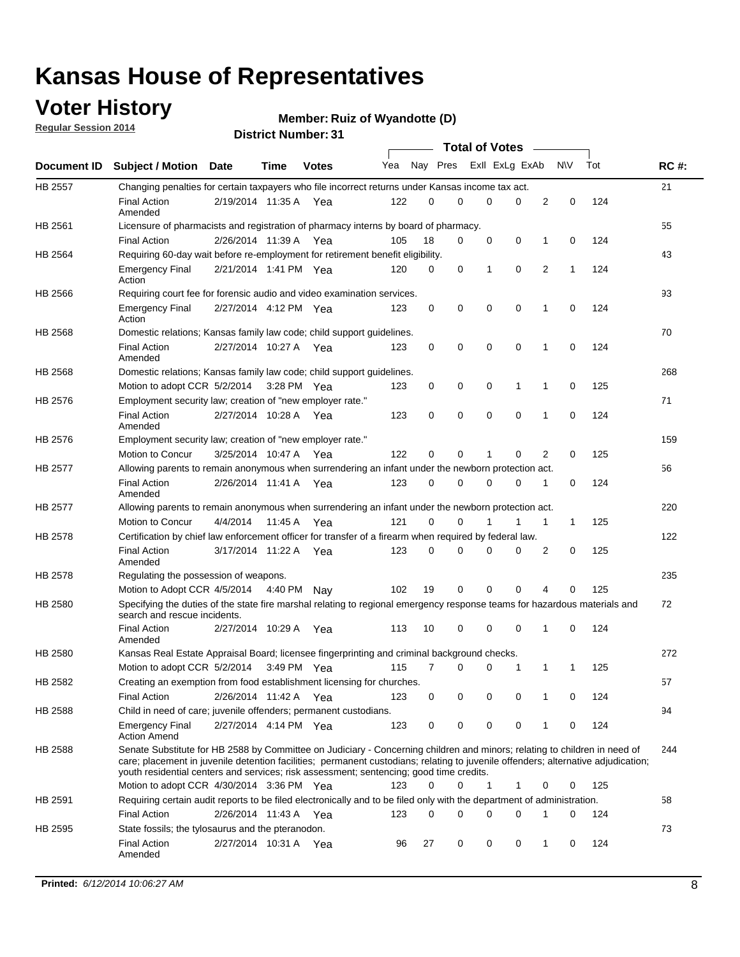### **Voter History**

**Regular Session 2014**

#### **Member: Ruiz of Wyandotte (D)**

|                |                                                                                                                                                                                                                                                                                                                                                           |                       |             |              |     |          |   | <b>Total of Votes</b> |             |              |              |     |             |
|----------------|-----------------------------------------------------------------------------------------------------------------------------------------------------------------------------------------------------------------------------------------------------------------------------------------------------------------------------------------------------------|-----------------------|-------------|--------------|-----|----------|---|-----------------------|-------------|--------------|--------------|-----|-------------|
|                | Document ID Subject / Motion Date                                                                                                                                                                                                                                                                                                                         |                       | Time        | <b>Votes</b> | Yea | Nay Pres |   | Exll ExLg ExAb        |             |              | <b>NV</b>    | Tot | <b>RC#:</b> |
| <b>HB 2557</b> | Changing penalties for certain taxpayers who file incorrect returns under Kansas income tax act.                                                                                                                                                                                                                                                          |                       |             |              |     |          |   |                       |             |              |              |     | 21          |
|                | <b>Final Action</b><br>Amended                                                                                                                                                                                                                                                                                                                            | 2/19/2014 11:35 A     |             | Yea          | 122 | 0        | 0 | 0                     | 0           | 2            | 0            | 124 |             |
| HB 2561        | Licensure of pharmacists and registration of pharmacy interns by board of pharmacy.                                                                                                                                                                                                                                                                       |                       |             |              |     |          |   |                       |             |              |              |     | 55          |
|                | <b>Final Action</b>                                                                                                                                                                                                                                                                                                                                       | 2/26/2014 11:39 A Yea |             |              | 105 | 18       | 0 | 0                     | 0           | 1            | 0            | 124 |             |
| HB 2564        | Requiring 60-day wait before re-employment for retirement benefit eligibility.                                                                                                                                                                                                                                                                            |                       |             |              |     |          |   |                       |             |              |              |     | 43          |
|                | <b>Emergency Final</b><br>Action                                                                                                                                                                                                                                                                                                                          | 2/21/2014 1:41 PM Yea |             |              | 120 | 0        | 0 | 1                     | 0           | 2            | 1            | 124 |             |
| HB 2566        | Requiring court fee for forensic audio and video examination services.                                                                                                                                                                                                                                                                                    |                       |             |              |     |          |   |                       |             |              |              |     | 93          |
|                | <b>Emergency Final</b><br>Action                                                                                                                                                                                                                                                                                                                          | 2/27/2014 4:12 PM Yea |             |              | 123 | 0        | 0 | 0                     | $\mathbf 0$ | 1            | $\mathbf 0$  | 124 |             |
| HB 2568        | Domestic relations; Kansas family law code; child support guidelines.                                                                                                                                                                                                                                                                                     |                       |             |              |     |          |   |                       |             |              |              |     | 70          |
|                | <b>Final Action</b><br>Amended                                                                                                                                                                                                                                                                                                                            | 2/27/2014 10:27 A     |             | Yea          | 123 | 0        | 0 | 0                     | 0           | 1            | 0            | 124 |             |
| HB 2568        | Domestic relations; Kansas family law code; child support guidelines.                                                                                                                                                                                                                                                                                     |                       |             |              |     |          |   |                       |             |              |              |     | 268         |
|                | Motion to adopt CCR 5/2/2014                                                                                                                                                                                                                                                                                                                              |                       | 3:28 PM Yea |              | 123 | 0        | 0 | 0                     | 1           | 1            | 0            | 125 |             |
| HB 2576        | Employment security law; creation of "new employer rate."                                                                                                                                                                                                                                                                                                 |                       |             |              |     |          |   |                       |             |              |              |     | 71          |
|                | <b>Final Action</b><br>Amended                                                                                                                                                                                                                                                                                                                            | 2/27/2014 10:28 A     |             | Yea          | 123 | 0        | 0 | 0                     | 0           | 1            | 0            | 124 |             |
| HB 2576        | Employment security law; creation of "new employer rate."                                                                                                                                                                                                                                                                                                 |                       |             |              |     |          |   |                       |             |              |              |     | 159         |
|                | Motion to Concur                                                                                                                                                                                                                                                                                                                                          | 3/25/2014 10:47 A     |             | Yea          | 122 | 0        | 0 | 1                     | 0           | 2            | 0            | 125 |             |
| HB 2577        | Allowing parents to remain anonymous when surrendering an infant under the newborn protection act.                                                                                                                                                                                                                                                        |                       |             |              |     |          |   |                       |             |              |              |     | 56          |
|                | <b>Final Action</b><br>Amended                                                                                                                                                                                                                                                                                                                            | 2/26/2014 11:41 A Yea |             |              | 123 | 0        | 0 | 0                     | $\Omega$    | 1            | 0            | 124 |             |
| HB 2577        | Allowing parents to remain anonymous when surrendering an infant under the newborn protection act.                                                                                                                                                                                                                                                        |                       |             |              |     |          |   |                       |             |              |              |     | 220         |
|                | Motion to Concur                                                                                                                                                                                                                                                                                                                                          | 4/4/2014              | 11:45 A     | Yea          | 121 | $\Omega$ | 0 |                       | 1           | $\mathbf{1}$ | $\mathbf{1}$ | 125 |             |
| HB 2578        | Certification by chief law enforcement officer for transfer of a firearm when required by federal law.                                                                                                                                                                                                                                                    |                       |             |              |     |          |   |                       |             |              |              |     | 122         |
|                | <b>Final Action</b><br>Amended                                                                                                                                                                                                                                                                                                                            | 3/17/2014 11:22 A     |             | Yea          | 123 | $\Omega$ | 0 | 0                     | $\Omega$    | 2            | 0            | 125 |             |
| HB 2578        | Regulating the possession of weapons.                                                                                                                                                                                                                                                                                                                     |                       |             |              |     |          |   |                       |             |              |              |     | 235         |
|                | Motion to Adopt CCR 4/5/2014 4:40 PM Nay                                                                                                                                                                                                                                                                                                                  |                       |             |              | 102 | 19       | 0 | 0                     | 0           | 4            | $\Omega$     | 125 |             |
| HB 2580        | Specifying the duties of the state fire marshal relating to regional emergency response teams for hazardous materials and<br>search and rescue incidents.                                                                                                                                                                                                 |                       |             |              |     |          |   |                       |             |              |              |     | 72          |
|                | <b>Final Action</b><br>Amended                                                                                                                                                                                                                                                                                                                            | 2/27/2014 10:29 A     |             | Yea          | 113 | 10       | 0 | 0                     | 0           | 1            | 0            | 124 |             |
| HB 2580        | Kansas Real Estate Appraisal Board; licensee fingerprinting and criminal background checks.                                                                                                                                                                                                                                                               |                       |             |              |     |          |   |                       |             |              |              |     | 272         |
|                | Motion to adopt CCR 5/2/2014                                                                                                                                                                                                                                                                                                                              |                       |             | 3:49 PM Yea  | 115 | 7        | 0 | 0                     | 1           | 1            | -1           | 125 |             |
| HB 2582        | Creating an exemption from food establishment licensing for churches.                                                                                                                                                                                                                                                                                     |                       |             |              |     |          |   |                       |             |              |              |     | 57          |
|                | <b>Final Action</b>                                                                                                                                                                                                                                                                                                                                       | 2/26/2014 11:42 A Yea |             |              | 123 | 0        | 0 | 0                     | 0           | 1            | 0            | 124 |             |
| HB 2588        | Child in need of care; juvenile offenders; permanent custodians.                                                                                                                                                                                                                                                                                          |                       |             |              |     |          |   |                       |             |              |              |     | 94          |
|                | <b>Emergency Final</b><br><b>Action Amend</b>                                                                                                                                                                                                                                                                                                             | 2/27/2014 4:14 PM Yea |             |              | 123 | 0        | 0 | 0                     | 0           | 1            | 0            | 124 |             |
| HB 2588        | Senate Substitute for HB 2588 by Committee on Judiciary - Concerning children and minors; relating to children in need of<br>care; placement in juvenile detention facilities; permanent custodians; relating to juvenile offenders; alternative adjudication;<br>youth residential centers and services; risk assessment; sentencing; good time credits. |                       |             |              |     |          |   |                       |             |              |              |     | 244         |
|                | Motion to adopt CCR 4/30/2014 3:36 PM Yea                                                                                                                                                                                                                                                                                                                 |                       |             |              | 123 | 0        | 0 | 1                     | 1           | 0            | 0            | 125 |             |
| HB 2591        | Requiring certain audit reports to be filed electronically and to be filed only with the department of administration.                                                                                                                                                                                                                                    |                       |             |              |     |          |   |                       |             |              |              |     | 58          |
|                | <b>Final Action</b>                                                                                                                                                                                                                                                                                                                                       | 2/26/2014 11:43 A Yea |             |              | 123 | 0        | 0 | 0                     | 0           | 1            | 0            | 124 |             |
| HB 2595        | State fossils; the tylosaurus and the pteranodon.                                                                                                                                                                                                                                                                                                         |                       |             |              |     |          |   |                       |             |              |              |     | 73          |
|                | <b>Final Action</b><br>Amended                                                                                                                                                                                                                                                                                                                            | 2/27/2014 10:31 A Yea |             |              | 96  | 27       | 0 | 0                     | 0           | 1            | 0            | 124 |             |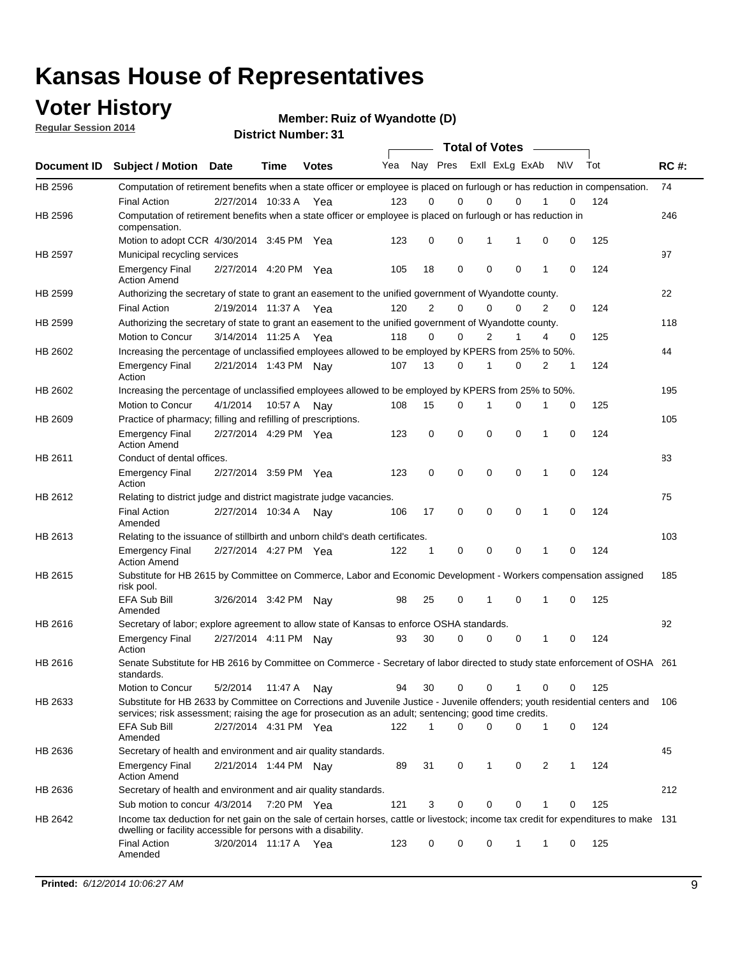### **Voter History**

**Regular Session 2014**

**Member: Ruiz of Wyandotte (D)** 

| <b>District Number: 31</b> |  |
|----------------------------|--|
|                            |  |

|             |                                                                                                                                                                                                                                       |                       |             |              |     |             | <b>Total of Votes</b>   |             |             |              |           |     |             |
|-------------|---------------------------------------------------------------------------------------------------------------------------------------------------------------------------------------------------------------------------------------|-----------------------|-------------|--------------|-----|-------------|-------------------------|-------------|-------------|--------------|-----------|-----|-------------|
| Document ID | <b>Subject / Motion Date</b>                                                                                                                                                                                                          |                       | Time        | <b>Votes</b> | Yea |             | Nay Pres Exll ExLg ExAb |             |             |              | <b>NV</b> | Tot | <b>RC#:</b> |
| HB 2596     | Computation of retirement benefits when a state officer or employee is placed on furlough or has reduction in compensation.<br><b>Final Action</b>                                                                                    | 2/27/2014 10:33 A     |             | Yea          | 123 | 0           | 0                       | $\mathbf 0$ | $\Omega$    |              | 0         | 124 | 74          |
| HB 2596     | Computation of retirement benefits when a state officer or employee is placed on furlough or has reduction in<br>compensation.                                                                                                        |                       |             |              |     |             |                         |             |             |              |           |     | 246         |
|             | Motion to adopt CCR 4/30/2014 3:45 PM Yea                                                                                                                                                                                             |                       |             |              | 123 | 0           | 0                       | 1           | 1           | 0            | 0         | 125 |             |
| HB 2597     | Municipal recycling services                                                                                                                                                                                                          |                       |             |              |     |             |                         |             |             |              |           |     | 97          |
|             | <b>Emergency Final</b><br><b>Action Amend</b>                                                                                                                                                                                         | 2/27/2014 4:20 PM Yea |             |              | 105 | 18          | 0                       | $\mathbf 0$ | 0           | $\mathbf{1}$ | 0         | 124 |             |
| HB 2599     | Authorizing the secretary of state to grant an easement to the unified government of Wyandotte county.                                                                                                                                |                       |             |              |     |             |                         |             |             |              |           |     | 22          |
|             | <b>Final Action</b>                                                                                                                                                                                                                   | 2/19/2014 11:37 A     |             | Yea          | 120 | 2           | 0                       | 0           | 0           | 2            | 0         | 124 |             |
| HB 2599     | Authorizing the secretary of state to grant an easement to the unified government of Wyandotte county.                                                                                                                                |                       |             |              |     |             |                         |             |             |              |           |     | 118         |
|             | Motion to Concur                                                                                                                                                                                                                      | 3/14/2014 11:25 A     |             | Yea          | 118 | 0           | 0                       | 2           | 1           | 4            | 0         | 125 |             |
| HB 2602     | Increasing the percentage of unclassified employees allowed to be employed by KPERS from 25% to 50%.                                                                                                                                  |                       |             |              |     |             |                         |             |             |              |           |     | 44          |
|             | <b>Emergency Final</b><br>Action                                                                                                                                                                                                      | 2/21/2014 1:43 PM Nay |             |              | 107 | 13          | 0                       | 1           | 0           | 2            | 1         | 124 |             |
| HB 2602     | Increasing the percentage of unclassified employees allowed to be employed by KPERS from 25% to 50%.                                                                                                                                  |                       |             |              |     |             |                         |             |             |              |           |     | 195         |
|             | Motion to Concur                                                                                                                                                                                                                      | 4/1/2014              | 10:57 A     | Nav          | 108 | 15          | 0                       | 1           | $\mathbf 0$ | 1            | 0         | 125 |             |
| HB 2609     | Practice of pharmacy; filling and refilling of prescriptions.                                                                                                                                                                         |                       |             |              |     |             |                         |             |             |              |           |     | 105         |
|             | <b>Emergency Final</b><br><b>Action Amend</b>                                                                                                                                                                                         | 2/27/2014 4:29 PM Yea |             |              | 123 | $\mathbf 0$ | $\mathbf 0$             | $\mathbf 0$ | $\mathbf 0$ | 1            | $\Omega$  | 124 |             |
| HB 2611     | Conduct of dental offices.                                                                                                                                                                                                            |                       |             |              |     |             |                         |             |             |              |           |     | 83          |
|             | <b>Emergency Final</b><br>Action                                                                                                                                                                                                      | 2/27/2014 3:59 PM Yea |             |              | 123 | 0           | 0                       | $\mathbf 0$ | $\mathbf 0$ | 1            | 0         | 124 |             |
| HB 2612     | Relating to district judge and district magistrate judge vacancies.                                                                                                                                                                   |                       |             |              |     |             |                         |             |             |              |           |     | 75          |
|             | <b>Final Action</b><br>Amended                                                                                                                                                                                                        | 2/27/2014 10:34 A     |             | Nav          | 106 | 17          | 0                       | $\mathbf 0$ | $\mathbf 0$ | 1            | 0         | 124 |             |
| HB 2613     | Relating to the issuance of stillbirth and unborn child's death certificates.                                                                                                                                                         |                       |             |              |     |             |                         |             |             |              |           |     | 103         |
|             | <b>Emergency Final</b><br><b>Action Amend</b>                                                                                                                                                                                         | 2/27/2014 4:27 PM Yea |             |              | 122 | $\mathbf 1$ | $\mathbf 0$             | $\mathbf 0$ | 0           | 1            | 0         | 124 |             |
| HB 2615     | Substitute for HB 2615 by Committee on Commerce, Labor and Economic Development - Workers compensation assigned<br>risk pool.                                                                                                         |                       |             |              |     |             |                         |             |             |              |           |     | 185         |
|             | EFA Sub Bill<br>Amended                                                                                                                                                                                                               | 3/26/2014 3:42 PM Nay |             |              | 98  | 25          | 0                       | 1           | 0           | 1            | 0         | 125 |             |
| HB 2616     | Secretary of labor; explore agreement to allow state of Kansas to enforce OSHA standards.                                                                                                                                             |                       |             |              |     |             |                         |             |             |              |           |     | 92          |
|             | <b>Emergency Final</b><br>Action                                                                                                                                                                                                      | 2/27/2014 4:11 PM Nay |             |              | 93  | 30          | $\Omega$                | $\mathbf 0$ | 0           | 1            | 0         | 124 |             |
| HB 2616     | Senate Substitute for HB 2616 by Committee on Commerce - Secretary of labor directed to study state enforcement of OSHA 261<br>standards.                                                                                             |                       |             |              |     |             |                         |             |             |              |           |     |             |
|             | Motion to Concur                                                                                                                                                                                                                      | 5/2/2014 11:47 A Nay  |             |              | 94  | 30          | $\mathbf 0$             | $\mathbf 0$ | 1           | 0            | 0         | 125 |             |
| HB 2633     | Substitute for HB 2633 by Committee on Corrections and Juvenile Justice - Juvenile offenders; youth residential centers and<br>services; risk assessment; raising the age for prosecution as an adult; sentencing; good time credits. |                       |             |              |     |             |                         |             |             |              |           |     | - 106       |
|             | EFA Sub Bill<br>Amended                                                                                                                                                                                                               | 2/27/2014 4:31 PM Yea |             |              | 122 | 1           | 0                       | 0           | 0           | 1            | 0         | 124 |             |
| HB 2636     | Secretary of health and environment and air quality standards.                                                                                                                                                                        |                       |             |              |     |             |                         |             |             |              |           |     | 45          |
|             | <b>Emergency Final</b><br><b>Action Amend</b>                                                                                                                                                                                         | 2/21/2014 1:44 PM Nay |             |              | 89  | 31          | 0                       | 1           | 0           | 2            |           | 124 |             |
| HB 2636     | Secretary of health and environment and air quality standards.                                                                                                                                                                        |                       |             |              |     |             |                         |             |             |              |           |     | 212         |
|             | Sub motion to concur 4/3/2014                                                                                                                                                                                                         |                       | 7:20 PM Yea |              | 121 | 3           | 0                       | 0           | 0           | 1            | 0         | 125 |             |
| HB 2642     | Income tax deduction for net gain on the sale of certain horses, cattle or livestock; income tax credit for expenditures to make 131<br>dwelling or facility accessible for persons with a disability.                                |                       |             |              |     |             |                         |             |             |              |           |     |             |
|             | <b>Final Action</b><br>Amended                                                                                                                                                                                                        | 3/20/2014 11:17 A Yea |             |              | 123 | 0           | 0                       | 0           | 1           | 1            | 0         | 125 |             |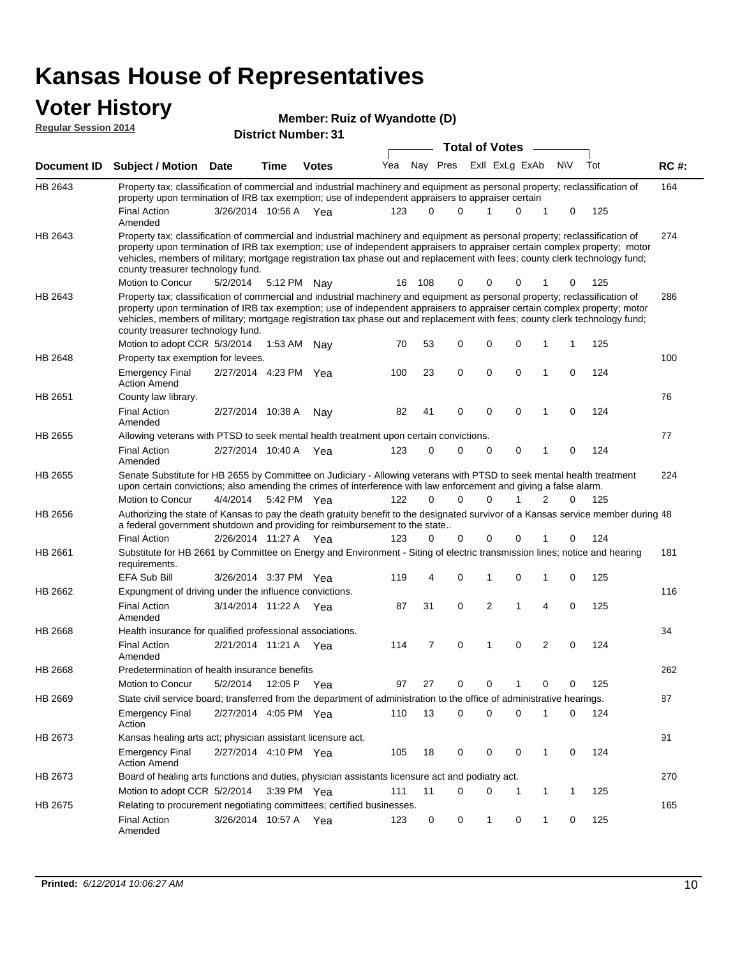# **Voter History**<br> **Regular Session 2014**

| <b>VULGE LIISLUI Y</b><br><b>Regular Session 2014</b> |                                                                                                                                                                                                                                                                                                                                                                                                                               | Member: Ruiz of Wyandotte (D)<br><b>District Number: 31</b> |             |              |     |          |                         |                       |              |   |              |           |     |             |  |
|-------------------------------------------------------|-------------------------------------------------------------------------------------------------------------------------------------------------------------------------------------------------------------------------------------------------------------------------------------------------------------------------------------------------------------------------------------------------------------------------------|-------------------------------------------------------------|-------------|--------------|-----|----------|-------------------------|-----------------------|--------------|---|--------------|-----------|-----|-------------|--|
|                                                       |                                                                                                                                                                                                                                                                                                                                                                                                                               |                                                             |             |              |     |          |                         | <b>Total of Votes</b> |              |   |              |           |     |             |  |
| <b>Document ID</b>                                    | <b>Subject / Motion Date</b>                                                                                                                                                                                                                                                                                                                                                                                                  |                                                             | Time        | <b>Votes</b> | Yea |          | Nay Pres ExII ExLg ExAb |                       |              |   |              | <b>NV</b> | Tot | <b>RC#:</b> |  |
| HB 2643                                               | Property tax; classification of commercial and industrial machinery and equipment as personal property; reclassification of<br>property upon termination of IRB tax exemption; use of independent appraisers to appraiser certain                                                                                                                                                                                             |                                                             |             |              |     |          |                         |                       |              |   |              |           |     | 164         |  |
|                                                       | <b>Final Action</b><br>Amended                                                                                                                                                                                                                                                                                                                                                                                                | 3/26/2014 10:56 A Yea                                       |             |              | 123 | $\Omega$ | $\Omega$                | 1                     |              | 0 | $\mathbf 1$  | 0         | 125 |             |  |
| HB 2643                                               | Property tax; classification of commercial and industrial machinery and equipment as personal property; reclassification of<br>property upon termination of IRB tax exemption; use of independent appraisers to appraiser certain complex property; motor<br>vehicles, members of military; mortgage registration tax phase out and replacement with fees; county clerk technology fund;<br>county treasurer technology fund. |                                                             |             |              |     |          |                         |                       |              |   |              |           |     | 274         |  |
|                                                       | Motion to Concur                                                                                                                                                                                                                                                                                                                                                                                                              | 5/2/2014                                                    | 5:12 PM Nav |              | 16  | - 108    | 0                       | 0                     |              | 0 |              | 0         | 125 |             |  |
| HB 2643                                               | Property tax; classification of commercial and industrial machinery and equipment as personal property; reclassification of<br>property upon termination of IRB tax exemption; use of independent appraisers to appraiser certain complex property; motor<br>vehicles, members of military; mortgage registration tax phase out and replacement with fees; county clerk technology fund;<br>county treasurer technology fund. |                                                             |             |              |     |          |                         |                       |              |   |              |           |     | 286         |  |
|                                                       | Motion to adopt CCR 5/3/2014                                                                                                                                                                                                                                                                                                                                                                                                  |                                                             | 1:53 AM     | Nav          | 70  | 53       | 0                       | 0                     |              | 0 | 1            | 1         | 125 |             |  |
| HB 2648                                               | Property tax exemption for levees.                                                                                                                                                                                                                                                                                                                                                                                            |                                                             |             |              |     |          |                         |                       |              |   |              |           |     | 100         |  |
|                                                       | <b>Emergency Final</b><br><b>Action Amend</b>                                                                                                                                                                                                                                                                                                                                                                                 | 2/27/2014 4:23 PM Yea                                       |             |              | 100 | 23       | 0                       | 0                     |              | 0 | 1            | 0         | 124 |             |  |
| HB 2651                                               | County law library.                                                                                                                                                                                                                                                                                                                                                                                                           |                                                             |             |              |     |          |                         |                       |              |   |              |           |     | 76          |  |
|                                                       | <b>Final Action</b><br>Amended                                                                                                                                                                                                                                                                                                                                                                                                | 2/27/2014 10:38 A                                           |             | Nay          | 82  | 41       | 0                       | 0                     |              | 0 | 1            | 0         | 124 |             |  |
| HB 2655                                               | Allowing veterans with PTSD to seek mental health treatment upon certain convictions.                                                                                                                                                                                                                                                                                                                                         |                                                             |             |              |     |          |                         |                       |              |   |              |           |     | 77          |  |
|                                                       | <b>Final Action</b><br>Amended                                                                                                                                                                                                                                                                                                                                                                                                | 2/27/2014 10:40 A Yea                                       |             |              | 123 | 0        | 0                       | 0                     |              | 0 | $\mathbf 1$  | 0         | 124 |             |  |
| HB 2655                                               | Senate Substitute for HB 2655 by Committee on Judiciary - Allowing veterans with PTSD to seek mental health treatment<br>upon certain convictions; also amending the crimes of interference with law enforcement and giving a false alarm.                                                                                                                                                                                    |                                                             |             |              |     |          |                         |                       |              |   |              |           |     | 224         |  |
|                                                       | Motion to Concur                                                                                                                                                                                                                                                                                                                                                                                                              | 4/4/2014                                                    | 5:42 PM Yea |              | 122 | $\Omega$ | $\Omega$                | $\Omega$              |              | 1 | 2            | 0         | 125 |             |  |
| HB 2656                                               | Authorizing the state of Kansas to pay the death gratuity benefit to the designated survivor of a Kansas service member during 48<br>a federal government shutdown and providing for reimbursement to the state                                                                                                                                                                                                               |                                                             |             |              |     |          |                         |                       |              |   |              |           |     |             |  |
|                                                       | <b>Final Action</b>                                                                                                                                                                                                                                                                                                                                                                                                           | 2/26/2014 11:27 A Yea                                       |             |              | 123 | 0        | 0                       | $\mathbf 0$           |              | 0 |              | 0         | 124 |             |  |
| HB 2661                                               | Substitute for HB 2661 by Committee on Energy and Environment - Siting of electric transmission lines; notice and hearing<br>requirements.                                                                                                                                                                                                                                                                                    |                                                             |             |              |     |          |                         |                       |              |   |              |           |     | 181         |  |
|                                                       | <b>EFA Sub Bill</b>                                                                                                                                                                                                                                                                                                                                                                                                           | 3/26/2014 3:37 PM Yea                                       |             |              | 119 | 4        | 0                       | 1                     |              | 0 | 1            | 0         | 125 |             |  |
| HB 2662                                               | Expungment of driving under the influence convictions.<br><b>Final Action</b>                                                                                                                                                                                                                                                                                                                                                 | 3/14/2014 11:22 A Yea                                       |             |              | 87  | 31       | 0                       | 2                     |              | 1 | 4            | 0         | 125 | 116         |  |
|                                                       | Amended                                                                                                                                                                                                                                                                                                                                                                                                                       |                                                             |             |              |     |          |                         |                       |              |   |              |           |     | 34          |  |
| HB 2668                                               | Health insurance for qualified professional associations.<br><b>Final Action</b><br>Amended                                                                                                                                                                                                                                                                                                                                   | 2/21/2014 11:21 A Yea                                       |             |              | 114 | 7        | 0                       | 1                     |              | 0 | 2            | 0         | 124 |             |  |
| HB 2668                                               | Predetermination of health insurance benefits                                                                                                                                                                                                                                                                                                                                                                                 |                                                             |             |              |     |          |                         |                       |              |   |              |           |     | 262         |  |
|                                                       | Motion to Concur                                                                                                                                                                                                                                                                                                                                                                                                              | 5/2/2014                                                    |             | 12:05 P Yea  | 97  | 27       | 0                       | 0                     |              | 1 | 0            | 0         | 125 |             |  |
| HB 2669                                               | State civil service board; transferred from the department of administration to the office of administrative hearings.                                                                                                                                                                                                                                                                                                        |                                                             |             |              |     |          |                         |                       |              |   |              |           |     | 87          |  |
|                                                       | <b>Emergency Final</b><br>Action                                                                                                                                                                                                                                                                                                                                                                                              | 2/27/2014 4:05 PM Yea                                       |             |              | 110 | 13       | 0                       | 0                     |              | 0 | 1            | 0         | 124 |             |  |
| HB 2673                                               | Kansas healing arts act; physician assistant licensure act.                                                                                                                                                                                                                                                                                                                                                                   |                                                             |             |              |     |          |                         |                       |              |   |              |           |     | 91          |  |
|                                                       | <b>Emergency Final</b><br><b>Action Amend</b>                                                                                                                                                                                                                                                                                                                                                                                 | 2/27/2014 4:10 PM Yea                                       |             |              | 105 | 18       | 0                       | 0                     |              | 0 | $\mathbf{1}$ | 0         | 124 |             |  |
| HB 2673                                               | Board of healing arts functions and duties, physician assistants licensure act and podiatry act.                                                                                                                                                                                                                                                                                                                              |                                                             |             |              |     |          |                         |                       |              |   |              |           |     | 270         |  |
|                                                       | Motion to adopt CCR 5/2/2014                                                                                                                                                                                                                                                                                                                                                                                                  |                                                             | 3:39 PM Yea |              | 111 | 11       | 0                       | 0                     |              | 1 | $\mathbf{1}$ | 1         | 125 |             |  |
| HB 2675                                               | Relating to procurement negotiating committees; certified businesses.                                                                                                                                                                                                                                                                                                                                                         |                                                             |             |              |     |          |                         |                       |              |   |              |           |     | 165         |  |
|                                                       | <b>Final Action</b><br>Amended                                                                                                                                                                                                                                                                                                                                                                                                | 3/26/2014 10:57 A Yea                                       |             |              | 123 | 0        | 0                       |                       | $\mathbf{1}$ | 0 | $\mathbf{1}$ | 0         | 125 |             |  |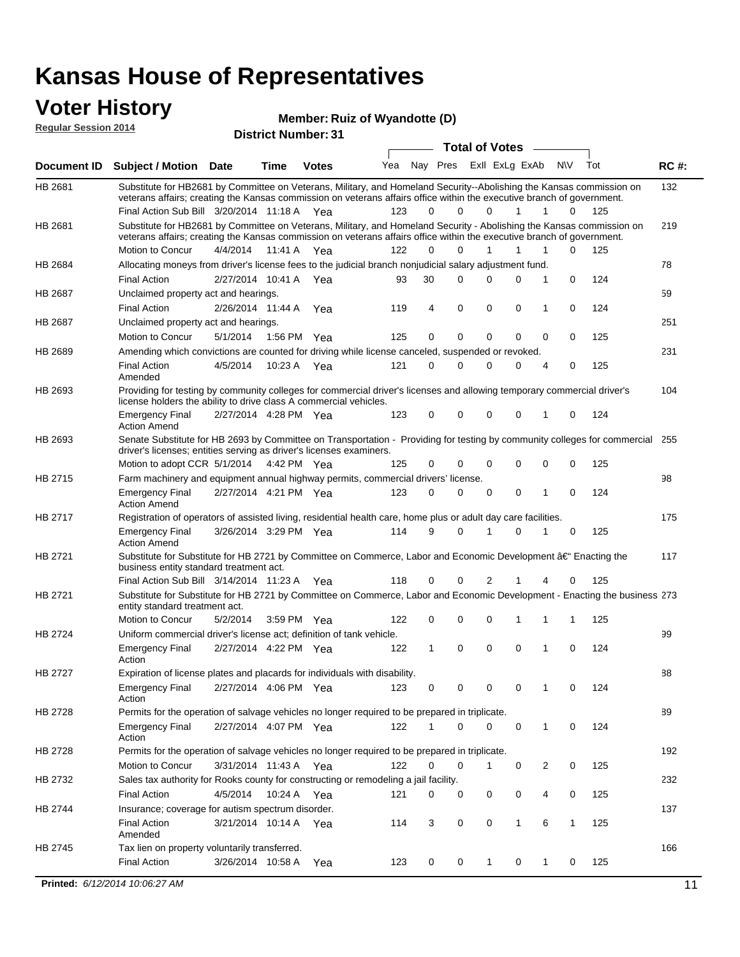#### **Voter History Regular Session 2014**

| Member: Ruiz of Wyandotte (D) |  |  |
|-------------------------------|--|--|
|-------------------------------|--|--|

| noguidi ocoololi 4017 |                                                                                                                                                                                                                                                 | <b>District Number: 31</b> |             |              |     |          |                         |             |                       |              |              |     |     |             |
|-----------------------|-------------------------------------------------------------------------------------------------------------------------------------------------------------------------------------------------------------------------------------------------|----------------------------|-------------|--------------|-----|----------|-------------------------|-------------|-----------------------|--------------|--------------|-----|-----|-------------|
|                       |                                                                                                                                                                                                                                                 |                            |             |              |     |          |                         |             | <b>Total of Votes</b> |              |              |     |     |             |
| <b>Document ID</b>    | <b>Subject / Motion Date</b>                                                                                                                                                                                                                    |                            | <b>Time</b> | <b>Votes</b> | Yea |          | Nay Pres ExII ExLg ExAb |             |                       |              | <b>N\V</b>   | Tot |     | <b>RC#:</b> |
| HB 2681               | Substitute for HB2681 by Committee on Veterans, Military, and Homeland Security--Abolishing the Kansas commission on<br>veterans affairs; creating the Kansas commission on veterans affairs office within the executive branch of government.  |                            |             |              |     |          |                         |             |                       |              |              |     |     | 132         |
|                       | Final Action Sub Bill 3/20/2014 11:18 A Yea                                                                                                                                                                                                     |                            |             |              | 123 | $\Omega$ | $\Omega$                |             | 0                     | 1            | 1            | 0   | 125 |             |
| HB 2681               | Substitute for HB2681 by Committee on Veterans, Military, and Homeland Security - Abolishing the Kansas commission on<br>veterans affairs; creating the Kansas commission on veterans affairs office within the executive branch of government. |                            |             |              |     |          |                         |             |                       |              |              |     |     | 219         |
|                       | Motion to Concur                                                                                                                                                                                                                                | 4/4/2014                   | 11:41 A     | Yea          | 122 | $\Omega$ | $\Omega$                | 1           |                       | 1            | 1            | 0   | 125 |             |
| HB 2684               | Allocating moneys from driver's license fees to the judicial branch nonjudicial salary adjustment fund.                                                                                                                                         |                            |             |              |     |          |                         |             |                       |              |              |     |     | 78          |
|                       | <b>Final Action</b>                                                                                                                                                                                                                             | 2/27/2014 10:41 A          |             | Yea          | 93  | 30       | $\Omega$                |             | 0                     | $\Omega$     | 1            | 0   | 124 |             |
| HB 2687               | Unclaimed property act and hearings.                                                                                                                                                                                                            |                            |             |              |     |          |                         |             |                       |              |              |     |     | 59          |
|                       | <b>Final Action</b>                                                                                                                                                                                                                             | 2/26/2014 11:44 A          |             | Yea          | 119 | 4        | $\mathbf 0$             | $\mathbf 0$ |                       | $\mathbf 0$  | 1            | 0   | 124 |             |
| HB 2687               | Unclaimed property act and hearings.                                                                                                                                                                                                            |                            |             |              |     |          |                         |             |                       |              |              |     |     | 251         |
|                       | Motion to Concur                                                                                                                                                                                                                                | 5/1/2014                   |             | 1:56 PM Yea  | 125 | 0        | $\mathbf 0$             | $\mathbf 0$ |                       | $\mathbf 0$  | 0            | 0   | 125 |             |
| HB 2689               | Amending which convictions are counted for driving while license canceled, suspended or revoked.                                                                                                                                                |                            |             |              |     |          |                         |             |                       |              |              |     |     | 231         |
|                       | <b>Final Action</b><br>Amended                                                                                                                                                                                                                  | 4/5/2014                   | 10:23 A     | Yea          | 121 | 0        | 0                       | $\Omega$    |                       | $\Omega$     | 4            | 0   | 125 |             |
| HB 2693               | Providing for testing by community colleges for commercial driver's licenses and allowing temporary commercial driver's<br>license holders the ability to drive class A commercial vehicles.                                                    |                            |             |              |     |          |                         |             |                       |              |              |     |     | 104         |
|                       | <b>Emergency Final</b><br><b>Action Amend</b>                                                                                                                                                                                                   | 2/27/2014 4:28 PM Yea      |             |              | 123 | 0        | 0                       | $\mathbf 0$ |                       | $\Omega$     | 1            | 0   | 124 |             |
| HB 2693               | Senate Substitute for HB 2693 by Committee on Transportation - Providing for testing by community colleges for commercial 255<br>driver's licenses; entities serving as driver's licenses examiners.                                            |                            |             |              |     |          |                         |             |                       |              |              |     |     |             |
|                       | Motion to adopt CCR 5/1/2014                                                                                                                                                                                                                    |                            |             | 4:42 PM Yea  | 125 | 0        | 0                       | $\mathbf 0$ |                       | $\Omega$     | 0            | 0   | 125 |             |
| HB 2715               | Farm machinery and equipment annual highway permits, commercial drivers' license.                                                                                                                                                               |                            |             |              |     |          |                         |             |                       |              |              |     |     | 98          |
|                       | <b>Emergency Final</b><br><b>Action Amend</b>                                                                                                                                                                                                   | 2/27/2014 4:21 PM Yea      |             |              | 123 | 0        | $\mathbf 0$             | 0           |                       | 0            | 1            | 0   | 124 |             |
| HB 2717               | Registration of operators of assisted living, residential health care, home plus or adult day care facilities.                                                                                                                                  |                            |             |              |     |          |                         |             |                       |              |              |     |     | 175         |
|                       | <b>Emergency Final</b><br><b>Action Amend</b>                                                                                                                                                                                                   | 3/26/2014 3:29 PM Yea      |             |              | 114 | 9        | $\Omega$                | 1           |                       | 0            | 1            | 0   | 125 |             |
| HB 2721               | Substitute for Substitute for HB 2721 by Committee on Commerce, Labor and Economic Development †Enacting the<br>business entity standard treatment act.                                                                                         |                            |             |              |     |          |                         |             |                       |              |              |     |     | 117         |
|                       | Final Action Sub Bill 3/14/2014 11:23 A Yea                                                                                                                                                                                                     |                            |             |              | 118 | 0        | 0                       |             | 2                     |              |              | 0   | 125 |             |
| HB 2721               | Substitute for Substitute for HB 2721 by Committee on Commerce, Labor and Economic Development - Enacting the business 273<br>entity standard treatment act.                                                                                    |                            |             |              |     |          |                         |             |                       |              |              |     |     |             |
|                       | Motion to Concur                                                                                                                                                                                                                                | 5/2/2014                   |             | 3:59 PM Yea  | 122 | 0        | 0                       | $\mathbf 0$ |                       |              |              | 1   | 125 |             |
| HB 2724               | Uniform commercial driver's license act; definition of tank vehicle.                                                                                                                                                                            |                            |             |              |     |          |                         |             |                       |              |              |     |     | 99          |
|                       | <b>Emergency Final</b><br>Action                                                                                                                                                                                                                | 2/27/2014 4:22 PM Yea      |             |              | 122 | 1        | 0                       | 0           |                       | $\mathbf 0$  | 1            | 0   | 124 |             |
| HB 2727               | Expiration of license plates and placards for individuals with disability.                                                                                                                                                                      |                            |             |              |     |          |                         |             |                       |              |              |     |     | 88          |
|                       | <b>Emergency Final</b><br>Action                                                                                                                                                                                                                | 2/27/2014 4:06 PM Yea      |             |              | 123 | 0        | 0                       |             | 0                     | 0            | 1            | 0   | 124 |             |
| HB 2728               | Permits for the operation of salvage vehicles no longer required to be prepared in triplicate.                                                                                                                                                  |                            |             |              |     |          |                         |             |                       |              |              |     |     | 89          |
|                       | <b>Emergency Final</b><br>Action                                                                                                                                                                                                                | 2/27/2014 4:07 PM Yea      |             |              | 122 | 1        | 0                       |             | 0                     | $\mathbf 0$  | $\mathbf{1}$ | 0   | 124 |             |
| HB 2728               | Permits for the operation of salvage vehicles no longer required to be prepared in triplicate.                                                                                                                                                  |                            |             |              |     |          |                         |             |                       |              |              |     |     | 192         |
|                       | <b>Motion to Concur</b>                                                                                                                                                                                                                         | 3/31/2014 11:43 A Yea      |             |              | 122 | 0        | 0                       | 1           |                       | 0            | 2            | 0   | 125 |             |
| HB 2732               | Sales tax authority for Rooks county for constructing or remodeling a jail facility.                                                                                                                                                            |                            |             |              |     |          |                         |             |                       |              |              |     |     | 232         |
|                       | <b>Final Action</b>                                                                                                                                                                                                                             | 4/5/2014                   |             | 10:24 A Yea  | 121 | 0        | 0                       | 0           |                       | 0            | 4            | 0   | 125 |             |
| HB 2744               | Insurance; coverage for autism spectrum disorder.                                                                                                                                                                                               |                            |             |              |     |          |                         |             |                       |              |              |     |     | 137         |
|                       | <b>Final Action</b><br>Amended                                                                                                                                                                                                                  | 3/21/2014 10:14 A Yea      |             |              | 114 | 3        | 0                       | 0           |                       | $\mathbf{1}$ | 6            | 1   | 125 |             |
| HB 2745               | Tax lien on property voluntarily transferred.                                                                                                                                                                                                   |                            |             |              |     |          |                         |             |                       |              |              |     |     | 166         |
|                       | <b>Final Action</b>                                                                                                                                                                                                                             | 3/26/2014 10:58 A          |             | Yea          | 123 | 0        | 0                       | 1           |                       | 0            | 1            | 0   | 125 |             |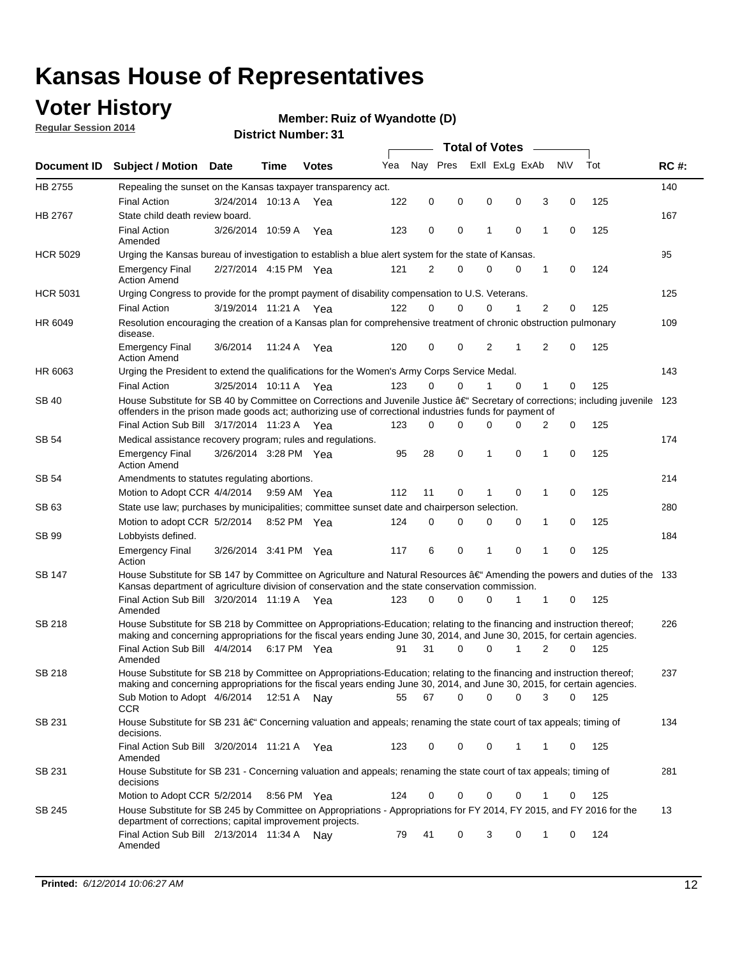### **Voter History**

**Regular Session 2014**

#### **Member: Ruiz of Wyandotte (D)**

| Nav Pres<br>Exll ExLg ExAb<br>Yea<br>Document ID Subject / Motion Date<br><b>Votes</b><br>Time<br>HB 2755<br>Repealing the sunset on the Kansas taxpayer transparency act.<br>0<br>0<br><b>Final Action</b><br>3/24/2014 10:13 A<br>122<br>0<br>0<br>Yea<br>State child death review board.<br><b>HB 2767</b><br><b>Final Action</b><br>0<br>1<br>0<br>3/26/2014 10:59 A<br>123<br>0<br>Yea<br>Amended<br><b>HCR 5029</b><br>Urging the Kansas bureau of investigation to establish a blue alert system for the state of Kansas.<br>2/27/2014 4:15 PM Yea<br>121<br>2<br>0<br>0<br>0<br><b>Emergency Final</b><br><b>Action Amend</b><br><b>HCR 5031</b><br>Urging Congress to provide for the prompt payment of disability compensation to U.S. Veterans.<br>122<br>$\Omega$<br>$\Omega$<br>0<br>1<br><b>Final Action</b><br>3/19/2014 11:21 A Yea<br>HR 6049<br>Resolution encouraging the creation of a Kansas plan for comprehensive treatment of chronic obstruction pulmonary<br>disease. | <b>NV</b><br>3<br>0<br>1<br>0<br>1<br>0<br>2<br>0<br>2<br>$\mathbf 0$ | Tot<br>125<br>125<br>124<br>125 | <b>RC#:</b><br>140<br>167<br>95<br>125 |
|-------------------------------------------------------------------------------------------------------------------------------------------------------------------------------------------------------------------------------------------------------------------------------------------------------------------------------------------------------------------------------------------------------------------------------------------------------------------------------------------------------------------------------------------------------------------------------------------------------------------------------------------------------------------------------------------------------------------------------------------------------------------------------------------------------------------------------------------------------------------------------------------------------------------------------------------------------------------------------------------------|-----------------------------------------------------------------------|---------------------------------|----------------------------------------|
|                                                                                                                                                                                                                                                                                                                                                                                                                                                                                                                                                                                                                                                                                                                                                                                                                                                                                                                                                                                                 |                                                                       |                                 |                                        |
|                                                                                                                                                                                                                                                                                                                                                                                                                                                                                                                                                                                                                                                                                                                                                                                                                                                                                                                                                                                                 |                                                                       |                                 |                                        |
|                                                                                                                                                                                                                                                                                                                                                                                                                                                                                                                                                                                                                                                                                                                                                                                                                                                                                                                                                                                                 |                                                                       |                                 |                                        |
|                                                                                                                                                                                                                                                                                                                                                                                                                                                                                                                                                                                                                                                                                                                                                                                                                                                                                                                                                                                                 |                                                                       |                                 |                                        |
|                                                                                                                                                                                                                                                                                                                                                                                                                                                                                                                                                                                                                                                                                                                                                                                                                                                                                                                                                                                                 |                                                                       |                                 |                                        |
|                                                                                                                                                                                                                                                                                                                                                                                                                                                                                                                                                                                                                                                                                                                                                                                                                                                                                                                                                                                                 |                                                                       |                                 |                                        |
|                                                                                                                                                                                                                                                                                                                                                                                                                                                                                                                                                                                                                                                                                                                                                                                                                                                                                                                                                                                                 |                                                                       |                                 |                                        |
|                                                                                                                                                                                                                                                                                                                                                                                                                                                                                                                                                                                                                                                                                                                                                                                                                                                                                                                                                                                                 |                                                                       |                                 |                                        |
|                                                                                                                                                                                                                                                                                                                                                                                                                                                                                                                                                                                                                                                                                                                                                                                                                                                                                                                                                                                                 |                                                                       |                                 |                                        |
|                                                                                                                                                                                                                                                                                                                                                                                                                                                                                                                                                                                                                                                                                                                                                                                                                                                                                                                                                                                                 |                                                                       |                                 | 109                                    |
| 120<br>0<br>0<br>2<br>1<br><b>Emergency Final</b><br>3/6/2014<br>11:24 A<br>Yea<br><b>Action Amend</b>                                                                                                                                                                                                                                                                                                                                                                                                                                                                                                                                                                                                                                                                                                                                                                                                                                                                                          |                                                                       | 125                             |                                        |
| HR 6063<br>Urging the President to extend the qualifications for the Women's Army Corps Service Medal.                                                                                                                                                                                                                                                                                                                                                                                                                                                                                                                                                                                                                                                                                                                                                                                                                                                                                          |                                                                       |                                 | 143                                    |
| 123<br>$\Omega$<br>0<br>$\Omega$<br><b>Final Action</b><br>3/25/2014 10:11 A Yea<br>1                                                                                                                                                                                                                                                                                                                                                                                                                                                                                                                                                                                                                                                                                                                                                                                                                                                                                                           | 1<br>0                                                                | 125                             |                                        |
| House Substitute for SB 40 by Committee on Corrections and Juvenile Justice †Secretary of corrections; including juvenile<br>SB 40<br>offenders in the prison made goods act; authorizing use of correctional industries funds for payment of                                                                                                                                                                                                                                                                                                                                                                                                                                                                                                                                                                                                                                                                                                                                                   |                                                                       |                                 | 123                                    |
| Final Action Sub Bill 3/17/2014 11:23 A Yea<br>0<br>123<br>$\Omega$<br>0<br>0                                                                                                                                                                                                                                                                                                                                                                                                                                                                                                                                                                                                                                                                                                                                                                                                                                                                                                                   | 0<br>2                                                                | 125                             |                                        |
| SB 54<br>Medical assistance recovery program; rules and regulations.                                                                                                                                                                                                                                                                                                                                                                                                                                                                                                                                                                                                                                                                                                                                                                                                                                                                                                                            |                                                                       |                                 | 174                                    |
| 3/26/2014 3:28 PM Yea<br>28<br>0<br>1<br>0<br><b>Emergency Final</b><br>95<br><b>Action Amend</b>                                                                                                                                                                                                                                                                                                                                                                                                                                                                                                                                                                                                                                                                                                                                                                                                                                                                                               | 1<br>0                                                                | 125                             |                                        |
| SB 54<br>Amendments to statutes regulating abortions.                                                                                                                                                                                                                                                                                                                                                                                                                                                                                                                                                                                                                                                                                                                                                                                                                                                                                                                                           |                                                                       |                                 | 214                                    |
| 112<br>11<br>0<br>0<br>Motion to Adopt CCR 4/4/2014 9:59 AM Yea                                                                                                                                                                                                                                                                                                                                                                                                                                                                                                                                                                                                                                                                                                                                                                                                                                                                                                                                 | 1<br>0                                                                | 125                             |                                        |
| State use law; purchases by municipalities; committee sunset date and chairperson selection.<br>SB 63                                                                                                                                                                                                                                                                                                                                                                                                                                                                                                                                                                                                                                                                                                                                                                                                                                                                                           |                                                                       |                                 | 280                                    |
| Motion to adopt CCR 5/2/2014<br>$\mathbf 0$<br>0<br>8:52 PM Yea<br>124<br>0<br>0                                                                                                                                                                                                                                                                                                                                                                                                                                                                                                                                                                                                                                                                                                                                                                                                                                                                                                                | 1<br>0                                                                | 125                             |                                        |
| SB 99<br>Lobbyists defined.                                                                                                                                                                                                                                                                                                                                                                                                                                                                                                                                                                                                                                                                                                                                                                                                                                                                                                                                                                     |                                                                       |                                 | 184                                    |
| 0<br>117<br>6<br>0<br><b>Emergency Final</b><br>3/26/2014 3:41 PM Yea<br>1<br>Action                                                                                                                                                                                                                                                                                                                                                                                                                                                                                                                                                                                                                                                                                                                                                                                                                                                                                                            | 1<br>$\mathbf 0$                                                      | 125                             |                                        |
| House Substitute for SB 147 by Committee on Agriculture and Natural Resources †Amending the powers and duties of the 133<br>SB 147<br>Kansas department of agriculture division of conservation and the state conservation commission.                                                                                                                                                                                                                                                                                                                                                                                                                                                                                                                                                                                                                                                                                                                                                          |                                                                       |                                 |                                        |
| Final Action Sub Bill 3/20/2014 11:19 A Yea<br>0<br>123<br>0<br>0<br>1<br>Amended                                                                                                                                                                                                                                                                                                                                                                                                                                                                                                                                                                                                                                                                                                                                                                                                                                                                                                               | 1<br>0                                                                | 125                             |                                        |
| <b>SB 218</b><br>House Substitute for SB 218 by Committee on Appropriations-Education; relating to the financing and instruction thereof;                                                                                                                                                                                                                                                                                                                                                                                                                                                                                                                                                                                                                                                                                                                                                                                                                                                       |                                                                       |                                 | 226                                    |
| making and concerning appropriations for the fiscal years ending June 30, 2014, and June 30, 2015, for certain agencies.<br>Final Action Sub Bill 4/4/2014 6:17 PM Yea<br>31<br>$\Omega$<br>0<br>1<br>91                                                                                                                                                                                                                                                                                                                                                                                                                                                                                                                                                                                                                                                                                                                                                                                        | 2<br>$\Omega$                                                         | 125                             |                                        |
| Amended                                                                                                                                                                                                                                                                                                                                                                                                                                                                                                                                                                                                                                                                                                                                                                                                                                                                                                                                                                                         |                                                                       |                                 |                                        |
| <b>SB 218</b><br>House Substitute for SB 218 by Committee on Appropriations-Education; relating to the financing and instruction thereof;                                                                                                                                                                                                                                                                                                                                                                                                                                                                                                                                                                                                                                                                                                                                                                                                                                                       |                                                                       |                                 | 237                                    |
| making and concerning appropriations for the fiscal years ending June 30, 2014, and June 30, 2015, for certain agencies.                                                                                                                                                                                                                                                                                                                                                                                                                                                                                                                                                                                                                                                                                                                                                                                                                                                                        |                                                                       |                                 |                                        |
| 67<br>0<br>0<br>0<br>Sub Motion to Adopt 4/6/2014 12:51 A Nay<br>55<br>CCR                                                                                                                                                                                                                                                                                                                                                                                                                                                                                                                                                                                                                                                                                                                                                                                                                                                                                                                      | 3<br>0                                                                | - 125                           |                                        |
| SB 231<br>House Substitute for SB 231 †Concerning valuation and appeals; renaming the state court of tax appeals; timing of<br>decisions.                                                                                                                                                                                                                                                                                                                                                                                                                                                                                                                                                                                                                                                                                                                                                                                                                                                       |                                                                       |                                 | 134                                    |
| Final Action Sub Bill 3/20/2014 11:21 A Yea<br>123<br>0<br>0<br>0<br>1<br>Amended                                                                                                                                                                                                                                                                                                                                                                                                                                                                                                                                                                                                                                                                                                                                                                                                                                                                                                               | 1<br>0                                                                | 125                             |                                        |
| SB 231<br>House Substitute for SB 231 - Concerning valuation and appeals; renaming the state court of tax appeals; timing of<br>decisions                                                                                                                                                                                                                                                                                                                                                                                                                                                                                                                                                                                                                                                                                                                                                                                                                                                       |                                                                       |                                 | 281                                    |
| Motion to Adopt CCR 5/2/2014 8:56 PM Yea<br>124<br>0<br>0<br>0<br>0                                                                                                                                                                                                                                                                                                                                                                                                                                                                                                                                                                                                                                                                                                                                                                                                                                                                                                                             | 1<br>0                                                                | 125                             |                                        |
| House Substitute for SB 245 by Committee on Appropriations - Appropriations for FY 2014, FY 2015, and FY 2016 for the<br>SB 245<br>department of corrections; capital improvement projects.                                                                                                                                                                                                                                                                                                                                                                                                                                                                                                                                                                                                                                                                                                                                                                                                     |                                                                       |                                 | 13                                     |
| Final Action Sub Bill 2/13/2014 11:34 A Nay<br>79<br>41<br>0<br>3<br>0<br>Amended                                                                                                                                                                                                                                                                                                                                                                                                                                                                                                                                                                                                                                                                                                                                                                                                                                                                                                               | 0<br>1                                                                | 124                             |                                        |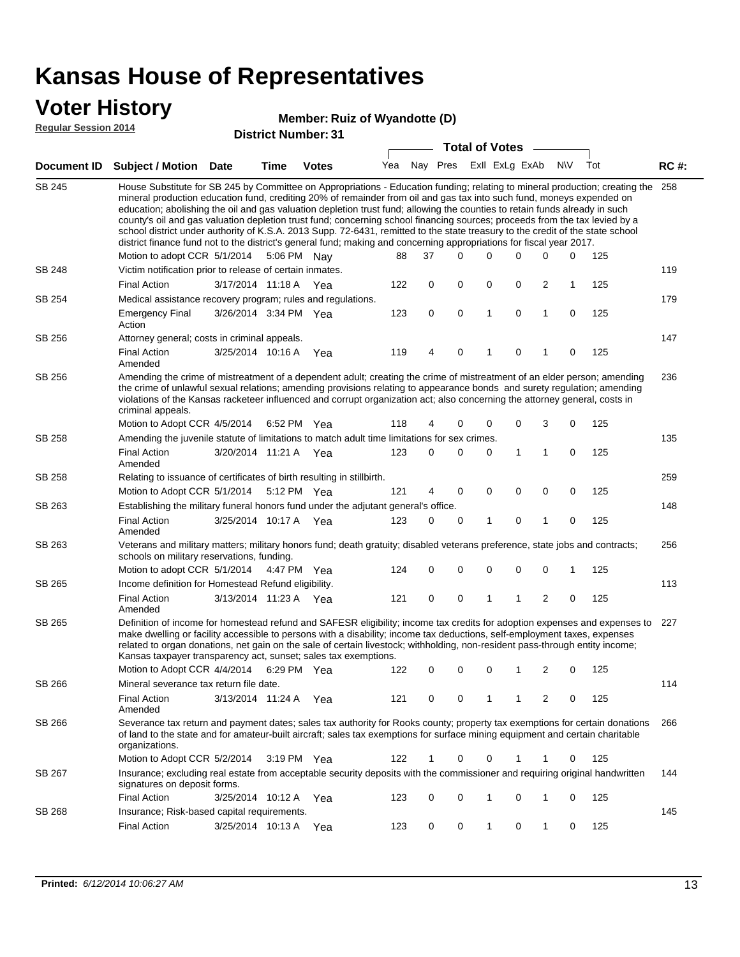### **Voter History**

#### **Member: Ruiz of Wyandotte (D)**

**Regular Session 2014**

|               |                                                                                                                                                                                                                                                                                                                                                                                                                                                                                                                                                                                                                                                                                                                                                                               |                       |      |              |     |             |             | <b>Total of Votes</b> |             |                |           |     |             |
|---------------|-------------------------------------------------------------------------------------------------------------------------------------------------------------------------------------------------------------------------------------------------------------------------------------------------------------------------------------------------------------------------------------------------------------------------------------------------------------------------------------------------------------------------------------------------------------------------------------------------------------------------------------------------------------------------------------------------------------------------------------------------------------------------------|-----------------------|------|--------------|-----|-------------|-------------|-----------------------|-------------|----------------|-----------|-----|-------------|
|               | Document ID Subject / Motion Date                                                                                                                                                                                                                                                                                                                                                                                                                                                                                                                                                                                                                                                                                                                                             |                       | Time | <b>Votes</b> | Yea | Nay Pres    |             | Exll ExLg ExAb        |             |                | <b>NV</b> | Tot | <b>RC#:</b> |
| <b>SB 245</b> | House Substitute for SB 245 by Committee on Appropriations - Education funding; relating to mineral production; creating the<br>mineral production education fund, crediting 20% of remainder from oil and gas tax into such fund, moneys expended on<br>education; abolishing the oil and gas valuation depletion trust fund; allowing the counties to retain funds already in such<br>county's oil and gas valuation depletion trust fund; concerning school financing sources; proceeds from the tax levied by a<br>school district under authority of K.S.A. 2013 Supp. 72-6431, remitted to the state treasury to the credit of the state school<br>district finance fund not to the district's general fund; making and concerning appropriations for fiscal year 2017. |                       |      |              |     |             |             |                       |             |                |           |     | 258         |
|               | Motion to adopt CCR 5/1/2014 5:06 PM Nay                                                                                                                                                                                                                                                                                                                                                                                                                                                                                                                                                                                                                                                                                                                                      |                       |      |              | 88  | 37          | $\Omega$    | 0                     | 0           | 0              | 0         | 125 |             |
| <b>SB 248</b> | Victim notification prior to release of certain inmates.                                                                                                                                                                                                                                                                                                                                                                                                                                                                                                                                                                                                                                                                                                                      |                       |      |              |     |             |             |                       |             |                |           |     | 119         |
|               | <b>Final Action</b>                                                                                                                                                                                                                                                                                                                                                                                                                                                                                                                                                                                                                                                                                                                                                           | 3/17/2014 11:18 A Yea |      |              | 122 | 0           | 0           | 0                     | 0           | 2              | 1         | 125 |             |
| SB 254        | Medical assistance recovery program; rules and regulations.                                                                                                                                                                                                                                                                                                                                                                                                                                                                                                                                                                                                                                                                                                                   |                       |      |              |     |             |             |                       |             |                |           |     | 179         |
|               | <b>Emergency Final</b><br>Action                                                                                                                                                                                                                                                                                                                                                                                                                                                                                                                                                                                                                                                                                                                                              | 3/26/2014 3:34 PM Yea |      |              | 123 | $\mathbf 0$ | 0           | 1                     | 0           | 1              | 0         | 125 |             |
| SB 256        | Attorney general; costs in criminal appeals.                                                                                                                                                                                                                                                                                                                                                                                                                                                                                                                                                                                                                                                                                                                                  |                       |      |              |     |             |             |                       |             |                |           |     | 147         |
|               | <b>Final Action</b><br>Amended                                                                                                                                                                                                                                                                                                                                                                                                                                                                                                                                                                                                                                                                                                                                                | 3/25/2014 10:16 A     |      | Yea          | 119 | 4           | 0           | 1                     | 0           | 1              | 0         | 125 |             |
| SB 256        | Amending the crime of mistreatment of a dependent adult; creating the crime of mistreatment of an elder person; amending<br>the crime of unlawful sexual relations; amending provisions relating to appearance bonds and surety regulation; amending<br>violations of the Kansas racketeer influenced and corrupt organization act; also concerning the attorney general, costs in<br>criminal appeals.                                                                                                                                                                                                                                                                                                                                                                       |                       |      |              |     |             |             |                       |             |                |           |     | 236         |
|               | Motion to Adopt CCR 4/5/2014                                                                                                                                                                                                                                                                                                                                                                                                                                                                                                                                                                                                                                                                                                                                                  |                       |      | 6:52 PM Yea  | 118 | 4           | 0           | 0                     | 0           | 3              | 0         | 125 |             |
| SB 258        | Amending the juvenile statute of limitations to match adult time limitations for sex crimes.                                                                                                                                                                                                                                                                                                                                                                                                                                                                                                                                                                                                                                                                                  |                       |      |              |     |             |             |                       |             |                |           |     | 135         |
|               | <b>Final Action</b><br>Amended                                                                                                                                                                                                                                                                                                                                                                                                                                                                                                                                                                                                                                                                                                                                                | 3/20/2014 11:21 A Yea |      |              | 123 | 0           | $\mathbf 0$ | 0                     | 1           | $\mathbf{1}$   | 0         | 125 |             |
| SB 258        | Relating to issuance of certificates of birth resulting in stillbirth.                                                                                                                                                                                                                                                                                                                                                                                                                                                                                                                                                                                                                                                                                                        |                       |      |              |     |             |             |                       |             |                |           |     | 259         |
|               | Motion to Adopt CCR 5/1/2014                                                                                                                                                                                                                                                                                                                                                                                                                                                                                                                                                                                                                                                                                                                                                  |                       |      | 5:12 PM Yea  | 121 | 4           | 0           | 0                     | $\mathbf 0$ | 0              | 0         | 125 |             |
| SB 263        | Establishing the military funeral honors fund under the adjutant general's office.                                                                                                                                                                                                                                                                                                                                                                                                                                                                                                                                                                                                                                                                                            |                       |      |              |     |             |             |                       |             |                |           |     | 148         |
|               | <b>Final Action</b><br>Amended                                                                                                                                                                                                                                                                                                                                                                                                                                                                                                                                                                                                                                                                                                                                                | 3/25/2014 10:17 A Yea |      |              | 123 | 0           | 0           | 1                     | 0           | 1              | 0         | 125 |             |
| SB 263        | Veterans and military matters; military honors fund; death gratuity; disabled veterans preference, state jobs and contracts;<br>schools on military reservations, funding.                                                                                                                                                                                                                                                                                                                                                                                                                                                                                                                                                                                                    |                       |      |              |     |             |             |                       |             |                |           |     | 256         |
|               | Motion to adopt CCR 5/1/2014                                                                                                                                                                                                                                                                                                                                                                                                                                                                                                                                                                                                                                                                                                                                                  |                       |      | 4:47 PM Yea  | 124 | 0           | $\mathbf 0$ | 0                     | 0           | 0              | 1         | 125 |             |
| SB 265        | Income definition for Homestead Refund eligibility.                                                                                                                                                                                                                                                                                                                                                                                                                                                                                                                                                                                                                                                                                                                           |                       |      |              |     |             |             |                       |             |                |           |     | 113         |
|               | <b>Final Action</b><br>Amended                                                                                                                                                                                                                                                                                                                                                                                                                                                                                                                                                                                                                                                                                                                                                | 3/13/2014 11:23 A Yea |      |              | 121 | $\mathbf 0$ | 0           | 1                     | 1           | $\overline{2}$ | 0         | 125 |             |
| SB 265        | Definition of income for homestead refund and SAFESR eligibility; income tax credits for adoption expenses and expenses to<br>make dwelling or facility accessible to persons with a disability; income tax deductions, self-employment taxes, expenses<br>related to organ donations, net gain on the sale of certain livestock; withholding, non-resident pass-through entity income;<br>Kansas taxpayer transparency act, sunset; sales tax exemptions.                                                                                                                                                                                                                                                                                                                    |                       |      |              |     |             |             |                       |             |                |           |     | 227         |
|               | Motion to Adopt CCR 4/4/2014 6:29 PM Yea                                                                                                                                                                                                                                                                                                                                                                                                                                                                                                                                                                                                                                                                                                                                      |                       |      |              | 122 | 0           | 0           | 0                     | 1           | 2              | 0         | 125 |             |
| SB 266        | Mineral severance tax return file date.                                                                                                                                                                                                                                                                                                                                                                                                                                                                                                                                                                                                                                                                                                                                       |                       |      |              |     |             |             |                       |             |                |           |     | 114         |
|               | <b>Final Action</b><br>Amended                                                                                                                                                                                                                                                                                                                                                                                                                                                                                                                                                                                                                                                                                                                                                | 3/13/2014 11:24 A Yea |      |              | 121 | 0           | 0           | 1                     | 1           | 2              | 0         | 125 |             |
| SB 266        | Severance tax return and payment dates; sales tax authority for Rooks county; property tax exemptions for certain donations<br>of land to the state and for amateur-built aircraft; sales tax exemptions for surface mining equipment and certain charitable<br>organizations.                                                                                                                                                                                                                                                                                                                                                                                                                                                                                                |                       |      |              |     |             |             |                       |             |                |           |     | 266         |
|               | Motion to Adopt CCR 5/2/2014                                                                                                                                                                                                                                                                                                                                                                                                                                                                                                                                                                                                                                                                                                                                                  |                       |      | 3:19 PM Yea  | 122 | 1           | 0           | 0                     | 1           | 1              | 0         | 125 |             |
| SB 267        | Insurance; excluding real estate from acceptable security deposits with the commissioner and requiring original handwritten<br>signatures on deposit forms.                                                                                                                                                                                                                                                                                                                                                                                                                                                                                                                                                                                                                   |                       |      |              |     |             |             |                       |             |                |           |     | 144         |
|               | <b>Final Action</b>                                                                                                                                                                                                                                                                                                                                                                                                                                                                                                                                                                                                                                                                                                                                                           | 3/25/2014 10:12 A Yea |      |              | 123 | 0           | 0           | 1                     | 0           | 1              | 0         | 125 |             |
| SB 268        | Insurance; Risk-based capital requirements.                                                                                                                                                                                                                                                                                                                                                                                                                                                                                                                                                                                                                                                                                                                                   |                       |      |              |     |             |             |                       |             |                |           |     | 145         |
|               | <b>Final Action</b>                                                                                                                                                                                                                                                                                                                                                                                                                                                                                                                                                                                                                                                                                                                                                           | 3/25/2014 10:13 A     |      | Yea          | 123 | 0           | 0           | 1                     | 0           | 1              | 0         | 125 |             |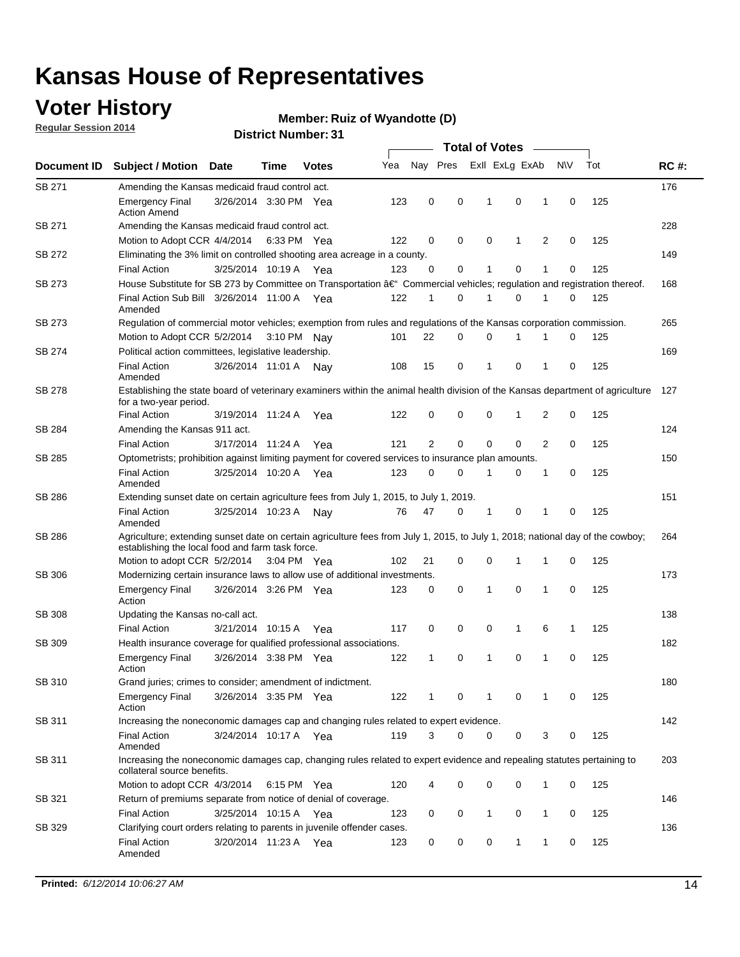### **Voter History**

**Regular Session 2014**

#### **Member: Ruiz of Wyandotte (D)**

|               |                                                                                                                                                                                    |                       |      |              |     |                |          | <b>Total of Votes</b> |             | $\frac{1}{2}$ |           |     |             |
|---------------|------------------------------------------------------------------------------------------------------------------------------------------------------------------------------------|-----------------------|------|--------------|-----|----------------|----------|-----------------------|-------------|---------------|-----------|-----|-------------|
|               | Document ID Subject / Motion                                                                                                                                                       | Date                  | Time | <b>Votes</b> | Yea | Nay Pres       |          | Exll ExLg ExAb        |             |               | <b>NV</b> | Tot | <b>RC#:</b> |
| SB 271        | Amending the Kansas medicaid fraud control act.                                                                                                                                    |                       |      |              |     |                |          |                       |             |               |           |     | 176         |
|               | <b>Emergency Final</b><br><b>Action Amend</b>                                                                                                                                      | 3/26/2014 3:30 PM Yea |      |              | 123 | 0              | 0        | 1                     | $\mathbf 0$ | 1             | 0         | 125 |             |
| SB 271        | Amending the Kansas medicaid fraud control act.                                                                                                                                    |                       |      |              |     |                |          |                       |             |               |           |     | 228         |
|               | Motion to Adopt CCR 4/4/2014 6:33 PM Yea                                                                                                                                           |                       |      |              | 122 | 0              | 0        | 0                     | 1           | 2             | 0         | 125 |             |
| SB 272        | Eliminating the 3% limit on controlled shooting area acreage in a county.                                                                                                          |                       |      |              |     |                |          |                       |             |               |           |     | 149         |
|               | <b>Final Action</b>                                                                                                                                                                | 3/25/2014 10:19 A Yea |      |              | 123 | 0              | 0        | 1                     | 0           | 1             | 0         | 125 |             |
| <b>SB 273</b> | House Substitute for SB 273 by Committee on Transportation â€ <sup>4</sup> Commercial vehicles; regulation and registration thereof.                                               |                       |      |              |     |                |          |                       |             |               |           |     | 168         |
|               | Final Action Sub Bill 3/26/2014 11:00 A Yea<br>Amended                                                                                                                             |                       |      |              | 122 | 1              | 0        | 1                     | 0           | 1             | 0         | 125 |             |
| SB 273        | Regulation of commercial motor vehicles; exemption from rules and regulations of the Kansas corporation commission.                                                                |                       |      |              |     |                |          |                       |             |               |           |     | 265         |
|               | Motion to Adopt CCR 5/2/2014 3:10 PM Nay                                                                                                                                           |                       |      |              | 101 | 22             | 0        | $\mathbf 0$           | 1           | 1             | 0         | 125 |             |
| SB 274        | Political action committees, legislative leadership.                                                                                                                               |                       |      |              |     |                |          |                       |             |               |           |     | 169         |
|               | <b>Final Action</b><br>Amended                                                                                                                                                     | 3/26/2014 11:01 A Nav |      |              | 108 | 15             | 0        | 1                     | $\mathbf 0$ | 1             | 0         | 125 |             |
| <b>SB 278</b> | Establishing the state board of veterinary examiners within the animal health division of the Kansas department of agriculture<br>for a two-year period.                           |                       |      |              |     |                |          |                       |             |               |           |     | 127         |
|               | <b>Final Action</b>                                                                                                                                                                | 3/19/2014 11:24 A     |      | Yea          | 122 | 0              | 0        | 0                     | 1           | 2             | 0         | 125 |             |
| SB 284        | Amending the Kansas 911 act.                                                                                                                                                       |                       |      |              |     |                |          |                       |             |               |           |     | 124         |
|               | <b>Final Action</b>                                                                                                                                                                | 3/17/2014 11:24 A     |      | Yea          | 121 | $\overline{2}$ | 0        | $\mathbf 0$           | $\mathbf 0$ | 2             | 0         | 125 |             |
| SB 285        | Optometrists; prohibition against limiting payment for covered services to insurance plan amounts.                                                                                 |                       |      |              |     |                |          |                       |             |               |           |     | 150         |
|               | <b>Final Action</b><br>Amended                                                                                                                                                     | 3/25/2014 10:20 A Yea |      |              | 123 | 0              | 0        | 1                     | 0           | 1             | 0         | 125 |             |
| SB 286        | Extending sunset date on certain agriculture fees from July 1, 2015, to July 1, 2019.                                                                                              |                       |      |              |     |                |          |                       |             |               |           |     | 151         |
|               | <b>Final Action</b><br>Amended                                                                                                                                                     | 3/25/2014 10:23 A     |      | Nay          | 76  | 47             | 0        | 1                     | 0           | 1             | 0         | 125 |             |
| SB 286        | Agriculture; extending sunset date on certain agriculture fees from July 1, 2015, to July 1, 2018; national day of the cowboy;<br>establishing the local food and farm task force. |                       |      |              |     |                |          |                       |             |               |           |     | 264         |
|               | Motion to adopt CCR 5/2/2014 3:04 PM Yea                                                                                                                                           |                       |      |              | 102 | 21             | 0        | $\mathbf 0$           | 1           | 1             | 0         | 125 |             |
| SB 306        | Modernizing certain insurance laws to allow use of additional investments.                                                                                                         |                       |      |              |     |                |          |                       |             |               |           |     | 173         |
|               | <b>Emergency Final</b><br>Action                                                                                                                                                   | 3/26/2014 3:26 PM Yea |      |              | 123 | 0              | 0        | 1                     | 0           | 1             | 0         | 125 |             |
| SB 308        | Updating the Kansas no-call act.                                                                                                                                                   |                       |      |              |     |                |          |                       |             |               |           |     | 138         |
|               | <b>Final Action</b>                                                                                                                                                                | 3/21/2014 10:15 A     |      | Yea          | 117 | 0              | 0        | 0                     | 1           | 6             | 1         | 125 |             |
| SB 309        | Health insurance coverage for qualified professional associations.                                                                                                                 |                       |      |              |     |                |          |                       |             |               |           |     | 182         |
|               | <b>Emergency Final</b><br>Action                                                                                                                                                   | 3/26/2014 3:38 PM Yea |      |              | 122 | 1              | 0        | 1                     | $\mathbf 0$ | 1             | 0         | 125 |             |
| SB 310        | Grand juries; crimes to consider; amendment of indictment.                                                                                                                         |                       |      |              |     |                |          |                       |             |               |           |     | 180         |
|               | <b>Emergency Final</b><br>Action                                                                                                                                                   | 3/26/2014 3:35 PM Yea |      |              | 122 | 1              | 0        | 1                     | 0           | 1             | 0         | 125 |             |
| SB 311        | Increasing the noneconomic damages cap and changing rules related to expert evidence.                                                                                              |                       |      |              |     |                |          |                       |             |               |           |     | 142         |
|               | <b>Final Action</b><br>Amended                                                                                                                                                     | 3/24/2014 10:17 A Yea |      |              | 119 | 3              | $\Omega$ | 0                     | 0           | 3             | 0         | 125 |             |
| SB 311        | Increasing the noneconomic damages cap, changing rules related to expert evidence and repealing statutes pertaining to<br>collateral source benefits.                              |                       |      |              |     |                |          |                       |             |               |           |     | 203         |
|               | Motion to adopt CCR 4/3/2014 6:15 PM Yea                                                                                                                                           |                       |      |              | 120 |                | 0        | 0                     | 0           | 1             | 0         | 125 |             |
| SB 321        | Return of premiums separate from notice of denial of coverage.                                                                                                                     |                       |      |              |     |                |          |                       |             |               |           |     | 146         |
|               | <b>Final Action</b>                                                                                                                                                                | 3/25/2014 10:15 A Yea |      |              | 123 | 0              | 0        | $\mathbf{1}$          | 0           | 1             | 0         | 125 |             |
| SB 329        | Clarifying court orders relating to parents in juvenile offender cases.<br><b>Final Action</b><br>Amended                                                                          | 3/20/2014 11:23 A Yea |      |              | 123 | 0              | 0        | 0                     | 1           | 1             | 0         | 125 | 136         |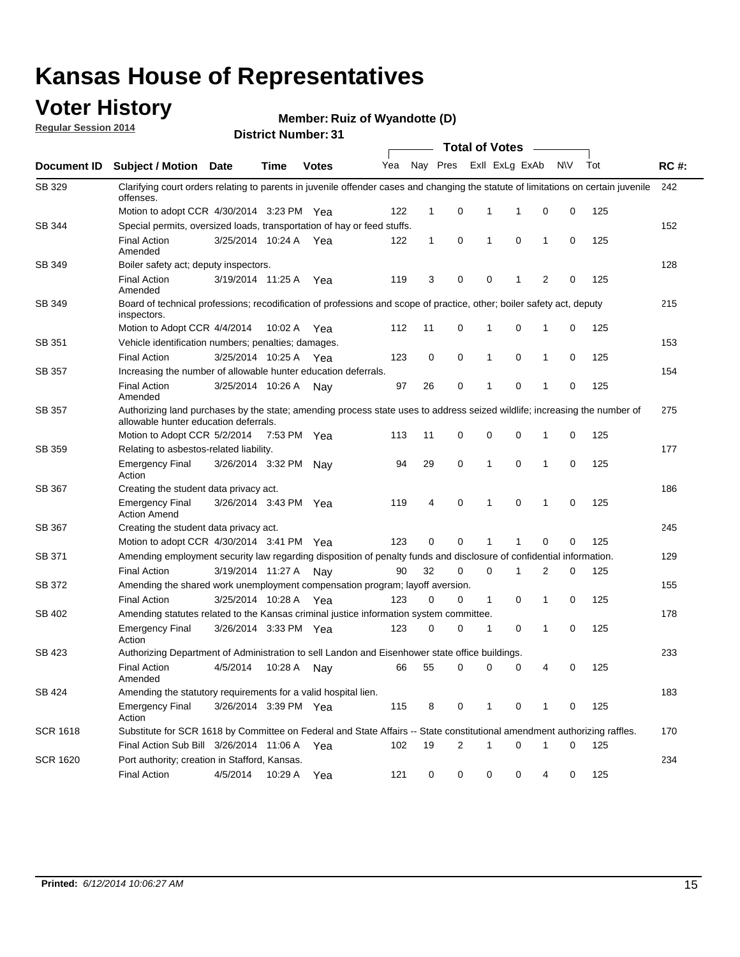### **Voter History**

**Regular Session 2014**

#### **Member: Ruiz of Wyandotte (D)**

|                 |                                                                                                                                                                    |                       | ul Ituliiwu . |              |     |              |             | <b>Total of Votes</b> |                |                |     |     |             |
|-----------------|--------------------------------------------------------------------------------------------------------------------------------------------------------------------|-----------------------|---------------|--------------|-----|--------------|-------------|-----------------------|----------------|----------------|-----|-----|-------------|
| Document ID     | Subject / Motion Date                                                                                                                                              |                       | <b>Time</b>   | <b>Votes</b> | Yea | Nay Pres     |             |                       | Exll ExLg ExAb |                | N\V | Tot | <b>RC#:</b> |
| SB 329          | Clarifying court orders relating to parents in juvenile offender cases and changing the statute of limitations on certain juvenile<br>offenses.                    |                       |               |              |     |              |             |                       |                |                |     |     | 242         |
|                 | Motion to adopt CCR 4/30/2014 3:23 PM Yea                                                                                                                          |                       |               |              | 122 | 1            | 0           | 1                     | 1              | 0              | 0   | 125 |             |
| SB 344          | Special permits, oversized loads, transportation of hay or feed stuffs.                                                                                            |                       |               |              |     |              |             |                       |                |                |     |     | 152         |
|                 | <b>Final Action</b><br>Amended                                                                                                                                     | 3/25/2014 10:24 A     |               | Yea          | 122 | $\mathbf{1}$ | 0           | 1                     | $\mathbf 0$    | 1              | 0   | 125 |             |
| SB 349          | Boiler safety act; deputy inspectors.                                                                                                                              |                       |               |              |     |              |             |                       |                |                |     |     | 128         |
|                 | <b>Final Action</b><br>Amended                                                                                                                                     | 3/19/2014 11:25 A     |               | Yea          | 119 | 3            | 0           | 0                     | 1              | $\overline{2}$ | 0   | 125 |             |
| SB 349          | Board of technical professions; recodification of professions and scope of practice, other; boiler safety act, deputy<br>inspectors.                               |                       |               |              |     |              |             |                       |                |                |     |     | 215         |
|                 | Motion to Adopt CCR 4/4/2014                                                                                                                                       |                       | 10:02 A       | Yea          | 112 | 11           | 0           | 1                     | $\mathbf 0$    | 1              | 0   | 125 |             |
| SB 351          | Vehicle identification numbers; penalties; damages.                                                                                                                |                       |               |              |     |              |             |                       |                |                |     |     | 153         |
|                 | <b>Final Action</b>                                                                                                                                                | 3/25/2014 10:25 A     |               | Yea          | 123 | 0            | 0           | 1                     | $\mathbf 0$    | 1              | 0   | 125 |             |
| SB 357          | Increasing the number of allowable hunter education deferrals.                                                                                                     |                       |               |              |     |              |             |                       |                |                |     |     | 154         |
|                 | <b>Final Action</b><br>Amended                                                                                                                                     | 3/25/2014 10:26 A     |               | Nav          | 97  | 26           | 0           | 1                     | $\mathbf 0$    | 1              | 0   | 125 |             |
| <b>SB 357</b>   | Authorizing land purchases by the state; amending process state uses to address seized wildlife; increasing the number of<br>allowable hunter education deferrals. |                       |               |              |     |              |             |                       |                |                |     |     | 275         |
|                 | Motion to Adopt CCR 5/2/2014                                                                                                                                       |                       | 7:53 PM Yea   |              | 113 | 11           | 0           | 0                     | $\mathbf 0$    | 1              | 0   | 125 |             |
| SB 359          | Relating to asbestos-related liability.                                                                                                                            |                       |               |              |     |              |             |                       |                |                |     |     | 177         |
|                 | <b>Emergency Final</b><br>Action                                                                                                                                   | 3/26/2014 3:32 PM     |               | Nav          | 94  | 29           | 0           | 1                     | $\mathbf 0$    | 1              | 0   | 125 |             |
| SB 367          | Creating the student data privacy act.                                                                                                                             |                       |               |              |     |              |             |                       |                |                |     |     | 186         |
|                 | <b>Emergency Final</b><br><b>Action Amend</b>                                                                                                                      | 3/26/2014 3:43 PM Yea |               |              | 119 | 4            | $\mathbf 0$ | 1                     | $\mathbf 0$    | 1              | 0   | 125 |             |
| SB 367          | Creating the student data privacy act.                                                                                                                             |                       |               |              |     |              |             |                       |                |                |     |     | 245         |
|                 | Motion to adopt CCR 4/30/2014 3:41 PM Yea                                                                                                                          |                       |               |              | 123 | 0            | $\Omega$    | 1                     | 1              | 0              | 0   | 125 |             |
| SB 371          | Amending employment security law regarding disposition of penalty funds and disclosure of confidential information.                                                |                       |               |              |     |              |             |                       |                |                |     |     | 129         |
|                 | <b>Final Action</b>                                                                                                                                                | 3/19/2014 11:27 A     |               | . Nav        | 90  | 32           | $\mathbf 0$ | $\mathbf 0$           | 1              | 2              | 0   | 125 |             |
| <b>SB 372</b>   | Amending the shared work unemployment compensation program; layoff aversion.                                                                                       |                       |               |              |     |              |             |                       |                |                |     |     | 155         |
|                 | <b>Final Action</b>                                                                                                                                                | 3/25/2014 10:28 A     |               | Yea          | 123 | 0            | 0           | $\mathbf{1}$          | $\mathbf 0$    | 1              | 0   | 125 |             |
| SB 402          | Amending statutes related to the Kansas criminal justice information system committee.                                                                             |                       |               |              |     |              |             |                       |                |                |     |     | 178         |
|                 | <b>Emergency Final</b><br>Action                                                                                                                                   | 3/26/2014 3:33 PM Yea |               |              | 123 | 0            | 0           | 1                     | 0              | 1              | 0   | 125 |             |
| SB 423          | Authorizing Department of Administration to sell Landon and Eisenhower state office buildings.                                                                     |                       |               |              |     |              |             |                       |                |                |     |     | 233         |
|                 | <b>Final Action</b><br>Amended                                                                                                                                     | 4/5/2014              | 10:28 A       | Nay          | 66  | 55           | 0           | 0                     | 0              | 4              | 0   | 125 |             |
| SB 424          | Amending the statutory requirements for a valid hospital lien.                                                                                                     |                       |               |              |     |              |             |                       |                |                |     |     | 183         |
|                 | <b>Emergency Final</b><br>Action                                                                                                                                   | 3/26/2014 3:39 PM Yea |               |              | 115 | 8            | 0           | 1                     | 0              | 1              | 0   | 125 |             |
| <b>SCR 1618</b> | Substitute for SCR 1618 by Committee on Federal and State Affairs -- State constitutional amendment authorizing raffles.                                           |                       |               |              |     |              |             |                       |                |                |     |     | 170         |
|                 | Final Action Sub Bill 3/26/2014 11:06 A Yea                                                                                                                        |                       |               |              | 102 | 19           | 2           | 1                     | $\mathbf 0$    | $\mathbf 1$    | 0   | 125 |             |
| <b>SCR 1620</b> | Port authority; creation in Stafford, Kansas.                                                                                                                      |                       |               |              |     |              |             |                       |                |                |     |     | 234         |
|                 | <b>Final Action</b>                                                                                                                                                | 4/5/2014              | 10:29 A       | Yea          | 121 | 0            | 0           | 0                     | 0              | 4              | 0   | 125 |             |